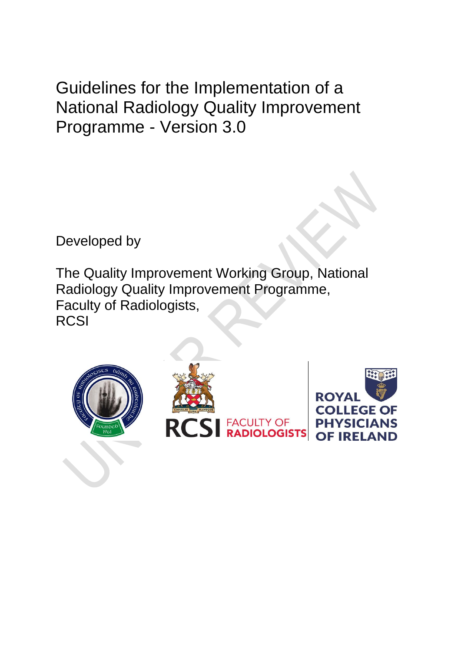Guidelines for the Implementation of a National Radiology Quality Improvement Programme - Version 3.0

Developed by

The Quality Improvement Working Group, National Radiology Quality Improvement Programme, Faculty of Radiologists, **RCSI** 

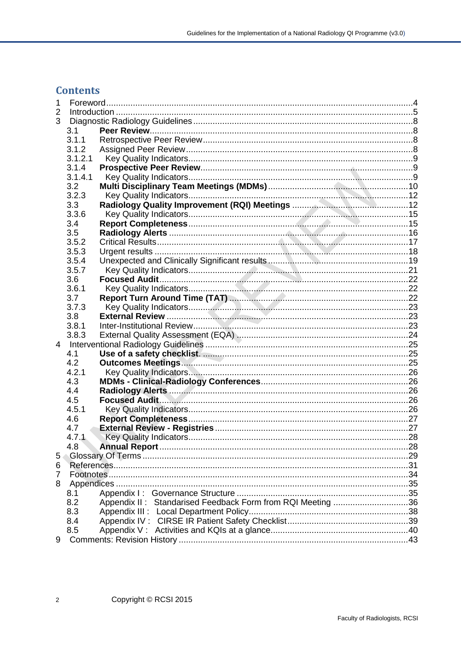# **Contents**

| 1 |         |                                                            |  |  |
|---|---------|------------------------------------------------------------|--|--|
| 2 |         |                                                            |  |  |
| 3 |         |                                                            |  |  |
|   | 3.1     |                                                            |  |  |
|   | 3.1.1   |                                                            |  |  |
|   | 3.1.2   |                                                            |  |  |
|   | 3.1.2.1 |                                                            |  |  |
|   | 3.1.4   |                                                            |  |  |
|   | 3.1.4.1 |                                                            |  |  |
|   | 3.2     |                                                            |  |  |
|   | 3.2.3   |                                                            |  |  |
|   | 3.3     |                                                            |  |  |
|   | 3.3.6   |                                                            |  |  |
|   | 3.4     |                                                            |  |  |
|   | 3.5     |                                                            |  |  |
|   | 3.5.2   |                                                            |  |  |
|   | 3.5.3   |                                                            |  |  |
|   | 3.5.4   |                                                            |  |  |
|   | 3.5.7   |                                                            |  |  |
|   | 3.6     |                                                            |  |  |
|   | 3.6.1   |                                                            |  |  |
|   | 3.7     |                                                            |  |  |
|   | 3.7.3   |                                                            |  |  |
|   | 3.8     |                                                            |  |  |
|   | 3.8.1   |                                                            |  |  |
|   | 3.8.3   |                                                            |  |  |
|   |         |                                                            |  |  |
|   | 4.1     |                                                            |  |  |
|   | 4.2     |                                                            |  |  |
|   | 4.2.1   |                                                            |  |  |
|   | 4.3     |                                                            |  |  |
|   | 4.4     |                                                            |  |  |
|   | 4.5     |                                                            |  |  |
|   | 4.5.1   |                                                            |  |  |
|   | 4.6     |                                                            |  |  |
|   | 4.7     |                                                            |  |  |
|   | 4.7.1   |                                                            |  |  |
|   | 4.8     |                                                            |  |  |
| 5 |         |                                                            |  |  |
| 6 |         |                                                            |  |  |
| 7 |         |                                                            |  |  |
| 8 |         |                                                            |  |  |
|   | 8.1     |                                                            |  |  |
|   | 8.2     | Appendix II: Standarised Feedback Form from RQI Meeting 36 |  |  |
|   | 8.3     |                                                            |  |  |
|   | 8.4     |                                                            |  |  |
|   | 8.5     |                                                            |  |  |
| 9 |         |                                                            |  |  |
|   |         |                                                            |  |  |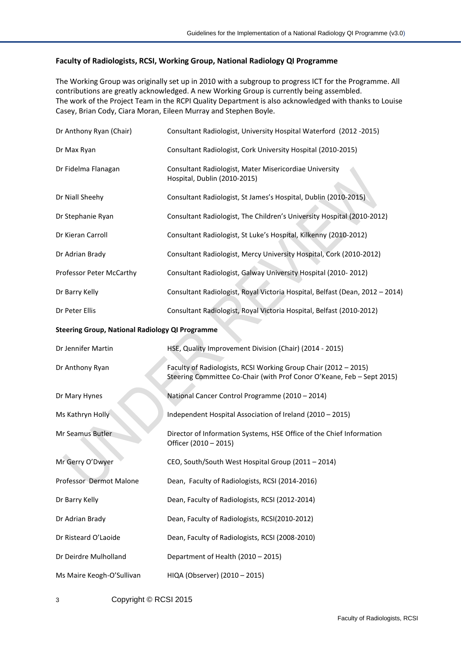#### **Faculty of Radiologists, RCSI, Working Group, National Radiology QI Programme**

The Working Group was originally set up in 2010 with a subgroup to progress ICT for the Programme. All contributions are greatly acknowledged. A new Working Group is currently being assembled. The work of the Project Team in the RCPI Quality Department is also acknowledged with thanks to Louise Casey, Brian Cody, Ciara Moran, Eileen Murray and Stephen Boyle.

| Dr Anthony Ryan (Chair)                                | Consultant Radiologist, University Hospital Waterford (2012-2015)                                                                         |  |  |  |
|--------------------------------------------------------|-------------------------------------------------------------------------------------------------------------------------------------------|--|--|--|
| Dr Max Ryan                                            | Consultant Radiologist, Cork University Hospital (2010-2015)                                                                              |  |  |  |
| Dr Fidelma Flanagan                                    | Consultant Radiologist, Mater Misericordiae University<br>Hospital, Dublin (2010-2015)                                                    |  |  |  |
| Dr Niall Sheehy                                        | Consultant Radiologist, St James's Hospital, Dublin (2010-2015)                                                                           |  |  |  |
| Dr Stephanie Ryan                                      | Consultant Radiologist, The Children's University Hospital (2010-2012)                                                                    |  |  |  |
| Dr Kieran Carroll                                      | Consultant Radiologist, St Luke's Hospital, Kilkenny (2010-2012)                                                                          |  |  |  |
| Dr Adrian Brady                                        | Consultant Radiologist, Mercy University Hospital, Cork (2010-2012)                                                                       |  |  |  |
| Professor Peter McCarthy                               | Consultant Radiologist, Galway University Hospital (2010-2012)                                                                            |  |  |  |
| Dr Barry Kelly                                         | Consultant Radiologist, Royal Victoria Hospital, Belfast (Dean, 2012 - 2014)                                                              |  |  |  |
| Dr Peter Ellis                                         | Consultant Radiologist, Royal Victoria Hospital, Belfast (2010-2012)                                                                      |  |  |  |
| <b>Steering Group, National Radiology QI Programme</b> |                                                                                                                                           |  |  |  |
| Dr Jennifer Martin                                     | HSE, Quality Improvement Division (Chair) (2014 - 2015)                                                                                   |  |  |  |
| Dr Anthony Ryan                                        | Faculty of Radiologists, RCSI Working Group Chair (2012 - 2015)<br>Steering Committee Co-Chair (with Prof Conor O'Keane, Feb - Sept 2015) |  |  |  |
| Dr Mary Hynes                                          | National Cancer Control Programme (2010 - 2014)                                                                                           |  |  |  |
| Ms Kathryn Holly                                       | Independent Hospital Association of Ireland (2010 - 2015)                                                                                 |  |  |  |
| Mr Seamus Butler                                       | Director of Information Systems, HSE Office of the Chief Information<br>Officer (2010 - 2015)                                             |  |  |  |
| Mr Gerry O'Dwyer                                       | CEO, South/South West Hospital Group (2011 - 2014)                                                                                        |  |  |  |
| Professor Dermot Malone                                | Dean, Faculty of Radiologists, RCSI (2014-2016)                                                                                           |  |  |  |
| Dr Barry Kelly                                         | Dean, Faculty of Radiologists, RCSI (2012-2014)                                                                                           |  |  |  |
| Dr Adrian Brady                                        | Dean, Faculty of Radiologists, RCSI(2010-2012)                                                                                            |  |  |  |
| Dr Risteard O'Laoide                                   | Dean, Faculty of Radiologists, RCSI (2008-2010)                                                                                           |  |  |  |
| Dr Deirdre Mulholland                                  | Department of Health (2010 - 2015)                                                                                                        |  |  |  |
| Ms Maire Keogh-O'Sullivan                              | HIQA (Observer) (2010 - 2015)                                                                                                             |  |  |  |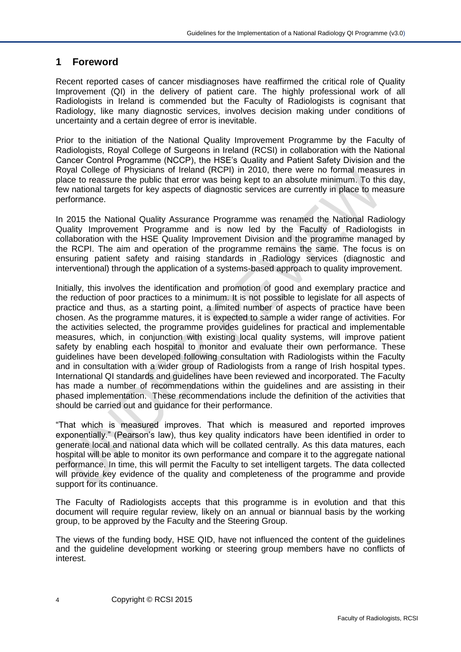## <span id="page-3-0"></span>**1 Foreword**

Recent reported cases of cancer misdiagnoses have reaffirmed the critical role of Quality Improvement (QI) in the delivery of patient care. The highly professional work of all Radiologists in Ireland is commended but the Faculty of Radiologists is cognisant that Radiology, like many diagnostic services, involves decision making under conditions of uncertainty and a certain degree of error is inevitable.

Prior to the initiation of the National Quality Improvement Programme by the Faculty of Radiologists, Royal College of Surgeons in Ireland (RCSI) in collaboration with the National Cancer Control Programme (NCCP), the HSE's Quality and Patient Safety Division and the Royal College of Physicians of Ireland (RCPI) in 2010, there were no formal measures in place to reassure the public that error was being kept to an absolute minimum. To this day, few national targets for key aspects of diagnostic services are currently in place to measure performance.

In 2015 the National Quality Assurance Programme was renamed the National Radiology Quality Improvement Programme and is now led by the Faculty of Radiologists in collaboration with the HSE Quality Improvement Division and the programme managed by the RCPI. The aim and operation of the programme remains the same. The focus is on ensuring patient safety and raising standards in Radiology services (diagnostic and interventional) through the application of a systems-based approach to quality improvement.

Initially, this involves the identification and promotion of good and exemplary practice and the reduction of poor practices to a minimum. It is not possible to legislate for all aspects of practice and thus, as a starting point, a limited number of aspects of practice have been chosen. As the programme matures, it is expected to sample a wider range of activities. For the activities selected, the programme provides guidelines for practical and implementable measures, which, in conjunction with existing local quality systems, will improve patient safety by enabling each hospital to monitor and evaluate their own performance. These guidelines have been developed following consultation with Radiologists within the Faculty and in consultation with a wider group of Radiologists from a range of Irish hospital types. International QI standards and guidelines have been reviewed and incorporated. The Faculty has made a number of recommendations within the guidelines and are assisting in their phased implementation. These recommendations include the definition of the activities that should be carried out and guidance for their performance.

"That which is measured improves. That which is measured and reported improves exponentially." (Pearson's law), thus key quality indicators have been identified in order to generate local and national data which will be collated centrally. As this data matures, each hospital will be able to monitor its own performance and compare it to the aggregate national performance. In time, this will permit the Faculty to set intelligent targets. The data collected will provide key evidence of the quality and completeness of the programme and provide support for its continuance.

The Faculty of Radiologists accepts that this programme is in evolution and that this document will require regular review, likely on an annual or biannual basis by the working group, to be approved by the Faculty and the Steering Group.

The views of the funding body, HSE QID, have not influenced the content of the guidelines and the guideline development working or steering group members have no conflicts of interest.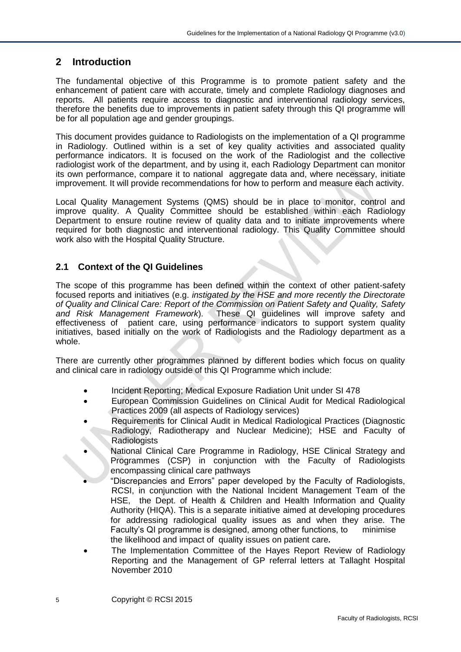## <span id="page-4-0"></span>**2 Introduction**

The fundamental objective of this Programme is to promote patient safety and the enhancement of patient care with accurate, timely and complete Radiology diagnoses and reports. All patients require access to diagnostic and interventional radiology services, therefore the benefits due to improvements in patient safety through this QI programme will be for all population age and gender groupings.

This document provides guidance to Radiologists on the implementation of a QI programme in Radiology. Outlined within is a set of key quality activities and associated quality performance indicators. It is focused on the work of the Radiologist and the collective radiologist work of the department, and by using it, each Radiology Department can monitor its own performance, compare it to national aggregate data and, where necessary, initiate improvement. It will provide recommendations for how to perform and measure each activity.

Local Quality Management Systems (QMS) should be in place to monitor, control and improve quality. A Quality Committee should be established within each Radiology Department to ensure routine review of quality data and to initiate improvements where required for both diagnostic and interventional radiology. This Quality Committee should work also with the Hospital Quality Structure.

## **2.1 Context of the QI Guidelines**

The scope of this programme has been defined within the context of other patient-safety focused reports and initiatives (e.g. *instigated by the HSE and more recently the Directorate of Quality and Clinical Care: Report of the Commission on Patient Safety and Quality, Safety and Risk Management Framework*). These QI guidelines will improve safety and effectiveness of patient care, using performance indicators to support system quality initiatives, based initially on the work of Radiologists and the Radiology department as a whole.

There are currently other programmes planned by different bodies which focus on quality and clinical care in radiology outside of this QI Programme which include:

- Incident Reporting; Medical Exposure Radiation Unit under SI 478
- European Commission Guidelines on Clinical Audit for Medical Radiological Practices 2009 (all aspects of Radiology services)
- Requirements for Clinical Audit in Medical Radiological Practices (Diagnostic Radiology, Radiotherapy and Nuclear Medicine); HSE and Faculty of **Radiologists**
- National Clinical Care Programme in Radiology, HSE Clinical Strategy and Programmes (CSP) in conjunction with the Faculty of Radiologists encompassing clinical care pathways
- "Discrepancies and Errors" paper developed by the Faculty of Radiologists, RCSI, in conjunction with the National Incident Management Team of the HSE, the Dept. of Health & Children and Health Information and Quality Authority (HIQA). This is a separate initiative aimed at developing procedures for addressing radiological quality issues as and when they arise. The Faculty's QI programme is designed, among other functions, to minimise the likelihood and impact of quality issues on patient care*.*
- The Implementation Committee of the Hayes Report Review of Radiology Reporting and the Management of GP referral letters at Tallaght Hospital November 2010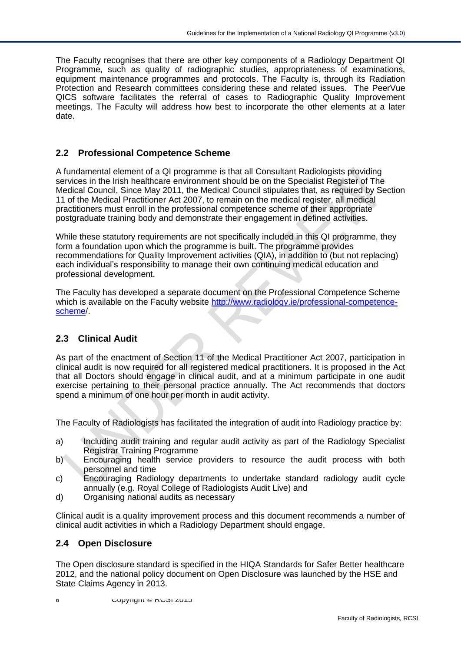The Faculty recognises that there are other key components of a Radiology Department QI Programme, such as quality of radiographic studies, appropriateness of examinations, equipment maintenance programmes and protocols. The Faculty is, through its Radiation Protection and Research committees considering these and related issues. The PeerVue QICS software facilitates the referral of cases to Radiographic Quality Improvement meetings. The Faculty will address how best to incorporate the other elements at a later date.

#### **2.2 Professional Competence Scheme**

A fundamental element of a QI programme is that all Consultant Radiologists providing services in the Irish healthcare environment should be on the Specialist Register of The Medical Council, Since May 2011, the Medical Council stipulates that, as required by Section 11 of the Medical Practitioner Act 2007, to remain on the medical register, all medical practitioners must enroll in the professional competence scheme of their appropriate postgraduate training body and demonstrate their engagement in defined activities.

While these statutory requirements are not specifically included in this QI programme, they form a foundation upon which the programme is built. The programme provides recommendations for Quality Improvement activities (QIA), in addition to (but not replacing) each individual's responsibility to manage their own continuing medical education and professional development.

The Faculty has developed a separate document on the Professional Competence Scheme which is available on the Faculty website [http://www.radiology.ie/professional-competence](http://www.radiology.ie/professional-competence-scheme/)[scheme/](http://www.radiology.ie/professional-competence-scheme/).

### **2.3 Clinical Audit**

As part of the enactment of Section 11 of the Medical Practitioner Act 2007, participation in clinical audit is now required for all registered medical practitioners. It is proposed in the Act that all Doctors should engage in clinical audit, and at a minimum participate in one audit exercise pertaining to their personal practice annually. The Act recommends that doctors spend a minimum of one hour per month in audit activity.

The Faculty of Radiologists has facilitated the integration of audit into Radiology practice by:

- a) Including audit training and regular audit activity as part of the Radiology Specialist Registrar Training Programme
- b) Encouraging health service providers to resource the audit process with both personnel and time
- c) Encouraging Radiology departments to undertake standard radiology audit cycle annually (e.g. Royal College of Radiologists Audit Live) and
- d) Organising national audits as necessary

Clinical audit is a quality improvement process and this document recommends a number of clinical audit activities in which a Radiology Department should engage.

### **2.4 Open Disclosure**

The Open disclosure standard is specified in the HIQA Standards for Safer Better healthcare 2012, and the national policy document on Open Disclosure was launched by the HSE and State Claims Agency in 2013.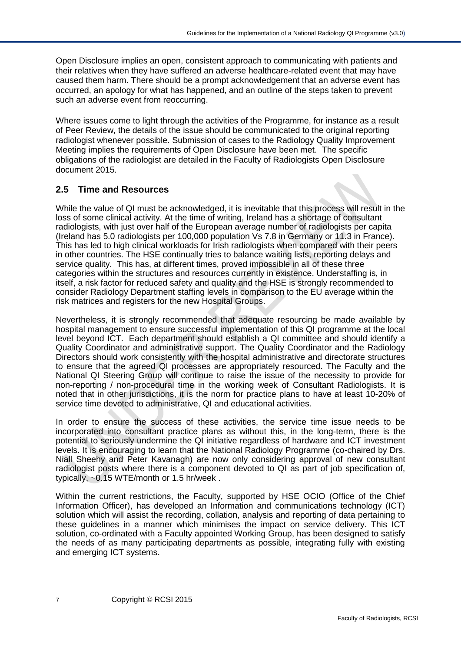Open Disclosure implies an open, consistent approach to communicating with patients and their relatives when they have suffered an adverse healthcare-related event that may have caused them harm. There should be a prompt acknowledgement that an adverse event has occurred, an apology for what has happened, and an outline of the steps taken to prevent such an adverse event from reoccurring.

Where issues come to light through the activities of the Programme, for instance as a result of Peer Review, the details of the issue should be communicated to the original reporting radiologist whenever possible. Submission of cases to the Radiology Quality Improvement Meeting implies the requirements of Open Disclosure have been met. The specific obligations of the radiologist are detailed in the Faculty of Radiologists Open Disclosure document 2015.

### **2.5 Time and Resources**

While the value of QI must be acknowledged, it is inevitable that this process will result in the loss of some clinical activity. At the time of writing, Ireland has a shortage of consultant radiologists, with just over half of the European average number of radiologists per capita (Ireland has 5.0 radiologists per 100,000 population Vs 7.8 in Germany or 11.3 in France). This has led to high clinical workloads for Irish radiologists when compared with their peers in other countries. The HSE continually tries to balance waiting lists, reporting delays and service quality. This has, at different times, proved impossible in all of these three categories within the structures and resources currently in existence. Understaffing is, in itself, a risk factor for reduced safety and quality and the HSE is strongly recommended to consider Radiology Department staffing levels in comparison to the EU average within the risk matrices and registers for the new Hospital Groups.

Nevertheless, it is strongly recommended that adequate resourcing be made available by hospital management to ensure successful implementation of this QI programme at the local level beyond ICT. Each department should establish a QI committee and should identify a Quality Coordinator and administrative support. The Quality Coordinator and the Radiology Directors should work consistently with the hospital administrative and directorate structures to ensure that the agreed QI processes are appropriately resourced. The Faculty and the National QI Steering Group will continue to raise the issue of the necessity to provide for non-reporting / non-procedural time in the working week of Consultant Radiologists. It is noted that in other jurisdictions, it is the norm for practice plans to have at least 10-20% of service time devoted to administrative, QI and educational activities.

In order to ensure the success of these activities, the service time issue needs to be incorporated into consultant practice plans as without this, in the long-term, there is the potential to seriously undermine the QI initiative regardless of hardware and ICT investment levels. It is encouraging to learn that the National Radiology Programme (co-chaired by Drs. Niall Sheehy and Peter Kavanagh) are now only considering approval of new consultant radiologist posts where there is a component devoted to QI as part of job specification of, typically, ~0.15 WTE/month or 1.5 hr/week .

Within the current restrictions, the Faculty, supported by HSE OCIO (Office of the Chief Information Officer), has developed an Information and communications technology (ICT) solution which will assist the recording, collation, analysis and reporting of data pertaining to these guidelines in a manner which minimises the impact on service delivery. This ICT solution, co-ordinated with a Faculty appointed Working Group, has been designed to satisfy the needs of as many participating departments as possible, integrating fully with existing and emerging ICT systems.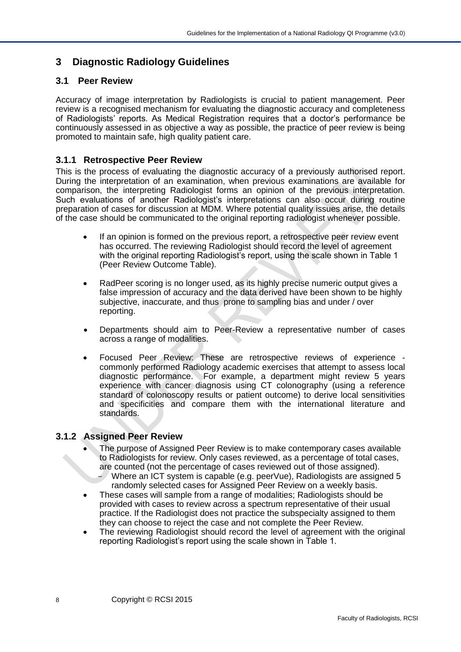## <span id="page-7-0"></span>**3 Diagnostic Radiology Guidelines**

## <span id="page-7-1"></span>**3.1 Peer Review**

Accuracy of image interpretation by Radiologists is crucial to patient management. Peer review is a recognised mechanism for evaluating the diagnostic accuracy and completeness of Radiologists' reports. As Medical Registration requires that a doctor's performance be continuously assessed in as objective a way as possible, the practice of peer review is being promoted to maintain safe, high quality patient care.

## <span id="page-7-2"></span>**3.1.1 Retrospective Peer Review**

This is the process of evaluating the diagnostic accuracy of a previously authorised report. During the interpretation of an examination, when previous examinations are available for comparison, the interpreting Radiologist forms an opinion of the previous interpretation. Such evaluations of another Radiologist's interpretations can also occur during routine preparation of cases for discussion at MDM. Where potential quality issues arise, the details of the case should be communicated to the original reporting radiologist whenever possible.

- If an opinion is formed on the previous report, a retrospective peer review event has occurred. The reviewing Radiologist should record the level of agreement with the original reporting Radiologist's report, using the scale shown in Table 1 (Peer Review Outcome Table).
- RadPeer scoring is no longer used, as its highly precise numeric output gives a false impression of accuracy and the data derived have been shown to be highly subjective, inaccurate, and thus prone to sampling bias and under / over reporting.
- Departments should aim to Peer-Review a representative number of cases across a range of modalities.
- Focused Peer Review: These are retrospective reviews of experience commonly performed Radiology academic exercises that attempt to assess local diagnostic performance. For example, a department might review 5 years experience with cancer diagnosis using CT colonography (using a reference standard of colonoscopy results or patient outcome) to derive local sensitivities and specificities and compare them with the international literature and standards.

## <span id="page-7-3"></span>**3.1.2 Assigned Peer Review**

- The purpose of Assigned Peer Review is to make contemporary cases available to Radiologists for review. Only cases reviewed, as a percentage of total cases, are counted (not the percentage of cases reviewed out of those assigned).
	- Where an ICT system is capable (e.g. peerVue), Radiologists are assigned 5 randomly selected cases for Assigned Peer Review on a weekly basis.
- These cases will sample from a range of modalities; Radiologists should be provided with cases to review across a spectrum representative of their usual practice. If the Radiologist does not practice the subspecialty assigned to them they can choose to reject the case and not complete the Peer Review.
- The reviewing Radiologist should record the level of agreement with the original reporting Radiologist's report using the scale shown in Table 1.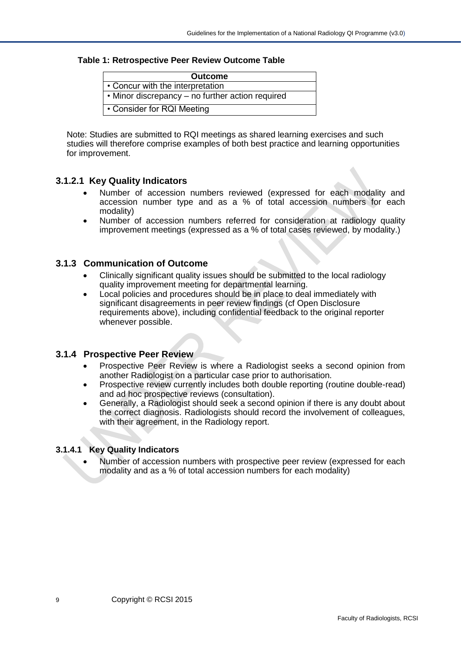#### **Table 1: Retrospective Peer Review Outcome Table**

| <b>Outcome</b>                                   |
|--------------------------------------------------|
| • Concur with the interpretation                 |
| • Minor discrepancy – no further action required |
| • Consider for RQI Meeting                       |

Note: Studies are submitted to RQI meetings as shared learning exercises and such studies will therefore comprise examples of both best practice and learning opportunities for improvement.

### <span id="page-8-0"></span>**3.1.2.1 Key Quality Indicators**

- Number of accession numbers reviewed (expressed for each modality and accession number type and as a % of total accession numbers for each modality)
- Number of accession numbers referred for consideration at radiology quality improvement meetings (expressed as a % of total cases reviewed, by modality.)

#### **3.1.3 Communication of Outcome**

- Clinically significant quality issues should be submitted to the local radiology quality improvement meeting for departmental learning.
- Local policies and procedures should be in place to deal immediately with significant disagreements in peer review findings (cf Open Disclosure requirements above), including confidential feedback to the original reporter whenever possible.

#### <span id="page-8-1"></span>**3.1.4 Prospective Peer Review**

- Prospective Peer Review is where a Radiologist seeks a second opinion from another Radiologist on a particular case prior to authorisation.
- Prospective review currently includes both double reporting (routine double-read) and ad hoc prospective reviews (consultation).
- Generally, a Radiologist should seek a second opinion if there is any doubt about the correct diagnosis. Radiologists should record the involvement of colleagues, with their agreement, in the Radiology report.

#### <span id="page-8-2"></span>**3.1.4.1 Key Quality Indicators**

• Number of accession numbers with prospective peer review (expressed for each modality and as a % of total accession numbers for each modality)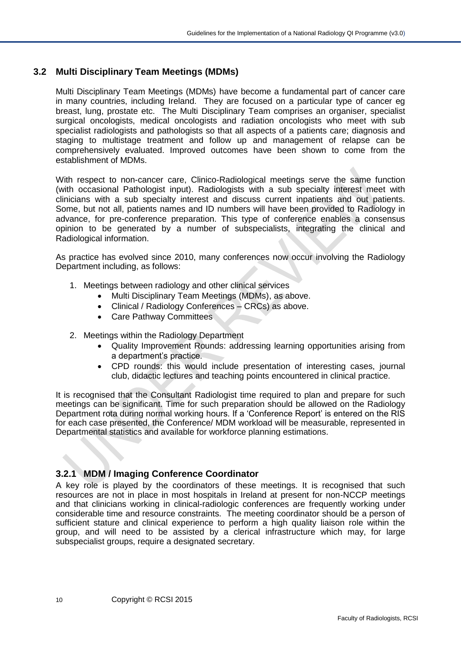## <span id="page-9-0"></span>**3.2 Multi Disciplinary Team Meetings (MDMs)**

Multi Disciplinary Team Meetings (MDMs) have become a fundamental part of cancer care in many countries, including Ireland. They are focused on a particular type of cancer eg breast, lung, prostate etc. The Multi Disciplinary Team comprises an organiser, specialist surgical oncologists, medical oncologists and radiation oncologists who meet with sub specialist radiologists and pathologists so that all aspects of a patients care; diagnosis and staging to multistage treatment and follow up and management of relapse can be comprehensively evaluated. Improved outcomes have been shown to come from the establishment of MDMs.

With respect to non-cancer care, Clinico-Radiological meetings serve the same function (with occasional Pathologist input). Radiologists with a sub specialty interest meet with clinicians with a sub specialty interest and discuss current inpatients and out patients. Some, but not all, patients names and ID numbers will have been provided to Radiology in advance, for pre-conference preparation. This type of conference enables a consensus opinion to be generated by a number of subspecialists, integrating the clinical and Radiological information.

As practice has evolved since 2010, many conferences now occur involving the Radiology Department including, as follows:

- 1. Meetings between radiology and other clinical services
	- Multi Disciplinary Team Meetings (MDMs), as above.
	- Clinical / Radiology Conferences CRCs) as above.
	- Care Pathway Committees
- 2. Meetings within the Radiology Department
	- Quality Improvement Rounds: addressing learning opportunities arising from a department's practice.
	- CPD rounds: this would include presentation of interesting cases, journal club, didactic lectures and teaching points encountered in clinical practice.

It is recognised that the Consultant Radiologist time required to plan and prepare for such meetings can be significant. Time for such preparation should be allowed on the Radiology Department rota during normal working hours. If a 'Conference Report' is entered on the RIS for each case presented, the Conference/ MDM workload will be measurable, represented in Departmental statistics and available for workforce planning estimations.

## **3.2.1 MDM / Imaging Conference Coordinator**

A key role is played by the coordinators of these meetings. It is recognised that such resources are not in place in most hospitals in Ireland at present for non-NCCP meetings and that clinicians working in clinical-radiologic conferences are frequently working under considerable time and resource constraints. The meeting coordinator should be a person of sufficient stature and clinical experience to perform a high quality liaison role within the group, and will need to be assisted by a clerical infrastructure which may, for large subspecialist groups, require a designated secretary.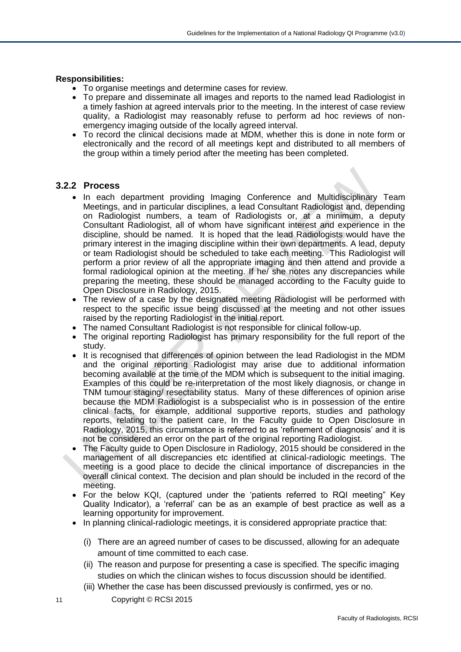#### **Responsibilities:**

- To organise meetings and determine cases for review.
- To prepare and disseminate all images and reports to the named lead Radiologist in a timely fashion at agreed intervals prior to the meeting. In the interest of case review quality, a Radiologist may reasonably refuse to perform ad hoc reviews of nonemergency imaging outside of the locally agreed interval.
- To record the clinical decisions made at MDM, whether this is done in note form or electronically and the record of all meetings kept and distributed to all members of the group within a timely period after the meeting has been completed.

#### **3.2.2 Process**

- In each department providing Imaging Conference and Multidisciplinary Team Meetings, and in particular disciplines, a lead Consultant Radiologist and, depending on Radiologist numbers, a team of Radiologists or, at a minimum, a deputy Consultant Radiologist, all of whom have significant interest and experience in the discipline, should be named. It is hoped that the lead Radiologists would have the primary interest in the imaging discipline within their own departments. A lead, deputy or team Radiologist should be scheduled to take each meeting. This Radiologist will perform a prior review of all the appropriate imaging and then attend and provide a formal radiological opinion at the meeting. If he/ she notes any discrepancies while preparing the meeting, these should be managed according to the Faculty guide to Open Disclosure in Radiology, 2015.
- The review of a case by the designated meeting Radiologist will be performed with respect to the specific issue being discussed at the meeting and not other issues raised by the reporting Radiologist in the initial report.
- The named Consultant Radiologist is not responsible for clinical follow-up.
- The original reporting Radiologist has primary responsibility for the full report of the study.
- It is recognised that differences of opinion between the lead Radiologist in the MDM and the original reporting Radiologist may arise due to additional information becoming available at the time of the MDM which is subsequent to the initial imaging. Examples of this could be re-interpretation of the most likely diagnosis, or change in TNM tumour staging/ resectability status. Many of these differences of opinion arise because the MDM Radiologist is a subspecialist who is in possession of the entire clinical facts, for example, additional supportive reports, studies and pathology reports, relating to the patient care, In the Faculty guide to Open Disclosure in Radiology, 2015, this circumstance is referred to as 'refinement of diagnosis' and it is not be considered an error on the part of the original reporting Radiologist.
- The Faculty guide to Open Disclosure in Radiology, 2015 should be considered in the management of all discrepancies etc identified at clinical-radiologic meetings. The meeting is a good place to decide the clinical importance of discrepancies in the overall clinical context. The decision and plan should be included in the record of the meeting.
- For the below KQI, (captured under the 'patients referred to RQI meeting" Key Quality Indicator), a 'referral' can be as an example of best practice as well as a learning opportunity for improvement.
- In planning clinical-radiologic meetings, it is considered appropriate practice that:
	- (i) There are an agreed number of cases to be discussed, allowing for an adequate amount of time committed to each case.
	- (ii) The reason and purpose for presenting a case is specified. The specific imaging studies on which the clinican wishes to focus discussion should be identified.
	- (iii) Whether the case has been discussed previously is confirmed, yes or no.
- 11 Copyright © RCSI 2015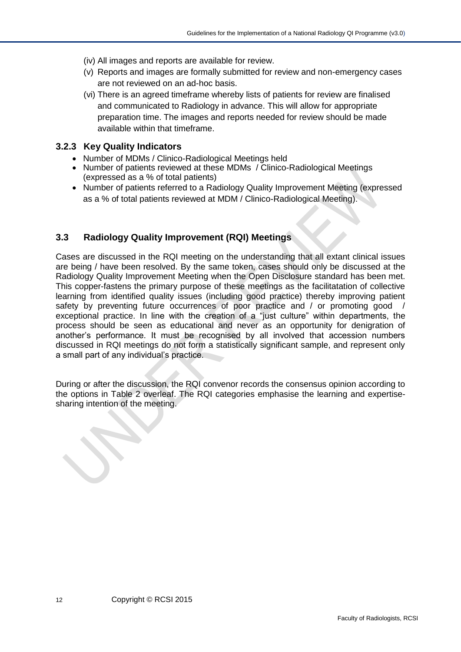- (iv) All images and reports are available for review.
- (v) Reports and images are formally submitted for review and non-emergency cases are not reviewed on an ad-hoc basis.
- (vi) There is an agreed timeframe whereby lists of patients for review are finalised and communicated to Radiology in advance. This will allow for appropriate preparation time. The images and reports needed for review should be made available within that timeframe.

### <span id="page-11-0"></span>**3.2.3 Key Quality Indicators**

- Number of MDMs / Clinico-Radiological Meetings held
- Number of patients reviewed at these MDMs / Clinico-Radiological Meetings (expressed as a % of total patients)
- Number of patients referred to a Radiology Quality Improvement Meeting (expressed as a % of total patients reviewed at MDM / Clinico-Radiological Meeting).

## <span id="page-11-1"></span>**3.3 Radiology Quality Improvement (RQI) Meetings**

Cases are discussed in the RQI meeting on the understanding that all extant clinical issues are being / have been resolved. By the same token, cases should only be discussed at the Radiology Quality Improvement Meeting when the Open Disclosure standard has been met. This copper-fastens the primary purpose of these meetings as the facilitatation of collective learning from identified quality issues (including good practice) thereby improving patient safety by preventing future occurrences of poor practice and / or promoting good exceptional practice. In line with the creation of a "just culture" within departments, the process should be seen as educational and never as an opportunity for denigration of another's performance. It must be recognised by all involved that accession numbers discussed in RQI meetings do not form a statistically significant sample, and represent only a small part of any individual's practice.

During or after the discussion, the RQI convenor records the consensus opinion according to the options in Table 2 overleaf. The RQI categories emphasise the learning and expertisesharing intention of the meeting.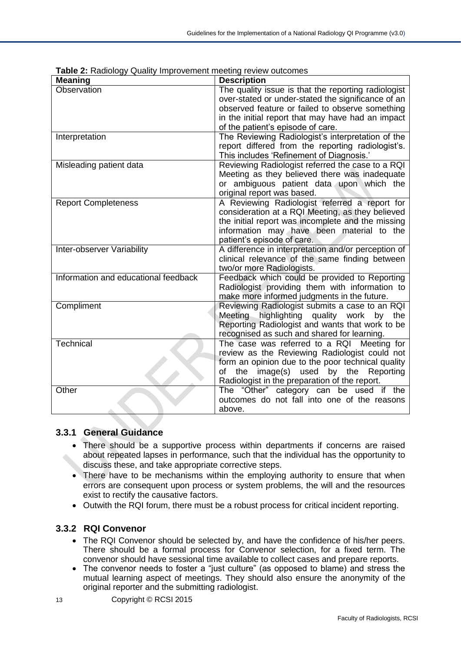| <b>Meaning</b>                       | <b>Description</b>                                  |
|--------------------------------------|-----------------------------------------------------|
| Observation                          | The quality issue is that the reporting radiologist |
|                                      | over-stated or under-stated the significance of an  |
|                                      | observed feature or failed to observe something     |
|                                      | in the initial report that may have had an impact   |
|                                      | of the patient's episode of care.                   |
| Interpretation                       | The Reviewing Radiologist's interpretation of the   |
|                                      | report differed from the reporting radiologist's.   |
|                                      | This includes 'Refinement of Diagnosis.'            |
| Misleading patient data              | Reviewing Radiologist referred the case to a RQI    |
|                                      | Meeting as they believed there was inadequate       |
|                                      | or ambiguous patient data upon which the            |
|                                      | original report was based.                          |
| <b>Report Completeness</b>           | A Reviewing Radiologist referred a report for       |
|                                      | consideration at a RQI Meeting, as they believed    |
|                                      | the initial report was incomplete and the missing   |
|                                      | information may have been material to the           |
|                                      | patient's episode of care.                          |
| Inter-observer Variability           | A difference in interpretation and/or perception of |
|                                      | clinical relevance of the same finding between      |
|                                      | two/or more Radiologists.                           |
| Information and educational feedback | Feedback which could be provided to Reporting       |
|                                      | Radiologist providing them with information to      |
|                                      | make more informed judgments in the future.         |
| Compliment                           | Reviewing Radiologist submits a case to an RQI      |
|                                      | Meeting highlighting quality work<br>by the         |
|                                      | Reporting Radiologist and wants that work to be     |
|                                      | recognised as such and shared for learning.         |
| Technical                            | The case was referred to a RQI Meeting for          |
|                                      | review as the Reviewing Radiologist could not       |
|                                      | form an opinion due to the poor technical quality   |
|                                      | image(s)<br>the<br>used<br>by the Reporting<br>οf   |
|                                      | Radiologist in the preparation of the report.       |
| Other                                | The "Other" category can be used if the             |
|                                      | outcomes do not fall into one of the reasons        |
|                                      | above.                                              |

**Table 2:** Radiology Quality Improvement meeting review outcomes

## **3.3.1 General Guidance**

- There should be a supportive process within departments if concerns are raised about repeated lapses in performance, such that the individual has the opportunity to discuss these, and take appropriate corrective steps.
- There have to be mechanisms within the employing authority to ensure that when errors are consequent upon process or system problems, the will and the resources exist to rectify the causative factors.
- Outwith the RQI forum, there must be a robust process for critical incident reporting.

## **3.3.2 RQI Convenor**

- The RQI Convenor should be selected by, and have the confidence of his/her peers. There should be a formal process for Convenor selection, for a fixed term. The convenor should have sessional time available to collect cases and prepare reports.
- The convenor needs to foster a "just culture" (as opposed to blame) and stress the mutual learning aspect of meetings. They should also ensure the anonymity of the original reporter and the submitting radiologist.
- 13 Copyright © RCSI 2015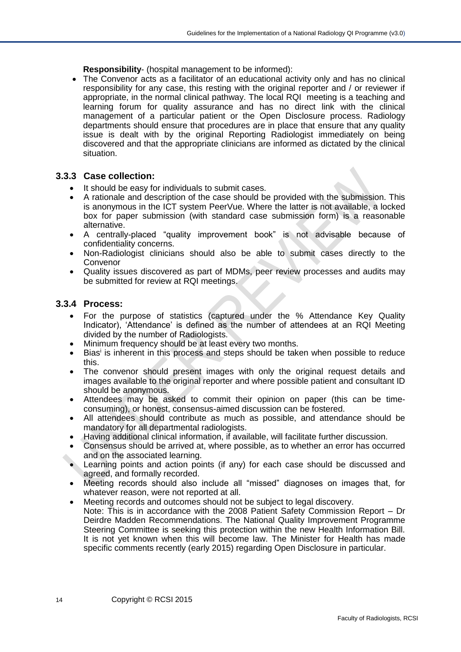**Responsibility**- (hospital management to be informed):

The Convenor acts as a facilitator of an educational activity only and has no clinical responsibility for any case, this resting with the original reporter and / or reviewer if appropriate, in the normal clinical pathway. The local RQI meeting is a teaching and learning forum for quality assurance and has no direct link with the clinical management of a particular patient or the Open Disclosure process. Radiology departments should ensure that procedures are in place that ensure that any quality issue is dealt with by the original Reporting Radiologist immediately on being discovered and that the appropriate clinicians are informed as dictated by the clinical situation.

### **3.3.3 Case collection:**

- It should be easy for individuals to submit cases.
- A rationale and description of the case should be provided with the submission. This is anonymous in the ICT system PeerVue. Where the latter is not available, a locked box for paper submission (with standard case submission form) is a reasonable alternative.
- A centrally-placed "quality improvement book" is not advisable because of confidentiality concerns.
- Non-Radiologist clinicians should also be able to submit cases directly to the Convenor
- Quality issues discovered as part of MDMs, peer review processes and audits may be submitted for review at RQI meetings.

#### **3.3.4 Process:**

- For the purpose of statistics (captured under the % Attendance Key Quality Indicator), 'Attendance' is defined as the number of attendees at an RQI Meeting divided by the number of Radiologists.
- Minimum frequency should be at least every two months.
- Bias<sup>i</sup> is inherent in this process and steps should be taken when possible to reduce this.
- The convenor should present images with only the original request details and images available to the original reporter and where possible patient and consultant ID should be anonymous.
- Attendees may be asked to commit their opinion on paper (this can be timeconsuming), or honest, consensus-aimed discussion can be fostered.
- All attendees should contribute as much as possible, and attendance should be mandatory for all departmental radiologists.
- Having additional clinical information, if available, will facilitate further discussion.
- Consensus should be arrived at, where possible, as to whether an error has occurred and on the associated learning.
- Learning points and action points (if any) for each case should be discussed and agreed, and formally recorded.
- Meeting records should also include all "missed" diagnoses on images that, for whatever reason, were not reported at all.
- Meeting records and outcomes should not be subject to legal discovery. Note: This is in accordance with the 2008 Patient Safety Commission Report – Dr Deirdre Madden Recommendations. The National Quality Improvement Programme Steering Committee is seeking this protection within the new Health Information Bill. It is not yet known when this will become law. The Minister for Health has made specific comments recently (early 2015) regarding Open Disclosure in particular.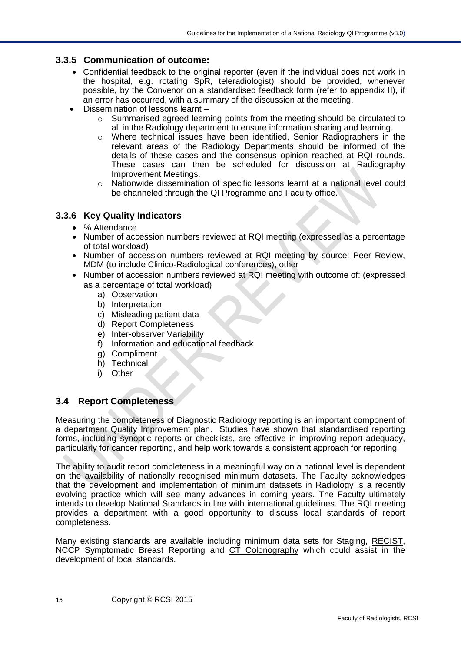### **3.3.5 Communication of outcome:**

- Confidential feedback to the original reporter (even if the individual does not work in the hospital, e.g. rotating SpR, teleradiologist) should be provided, whenever possible, by the Convenor on a standardised feedback form (refer to appendix II), if an error has occurred, with a summary of the discussion at the meeting.
- Dissemination of lessons learnt **–**
	- o Summarised agreed learning points from the meeting should be circulated to all in the Radiology department to ensure information sharing and learning.
	- o Where technical issues have been identified, Senior Radiographers in the relevant areas of the Radiology Departments should be informed of the details of these cases and the consensus opinion reached at RQI rounds. These cases can then be scheduled for discussion at Radiography Improvement Meetings.
	- o Nationwide dissemination of specific lessons learnt at a national level could be channeled through the QI Programme and Faculty office.

#### <span id="page-14-0"></span>**3.3.6 Key Quality Indicators**

- % Attendance
- Number of accession numbers reviewed at RQI meeting (expressed as a percentage of total workload)
- Number of accession numbers reviewed at RQI meeting by source: Peer Review, MDM (to include Clinico-Radiological conferences), other
- Number of accession numbers reviewed at RQI meeting with outcome of: (expressed as a percentage of total workload)
	- a) Observation
	- b) Interpretation
	- c) Misleading patient data
	- d) Report Completeness
	- e) Inter-observer Variability
	- f) Information and educational feedback
	- g) Compliment
	- h) Technical
	- i) Other

### <span id="page-14-1"></span>**3.4 Report Completeness**

Measuring the completeness of Diagnostic Radiology reporting is an important component of a department Quality Improvement plan. Studies have shown that standardised reporting forms, including synoptic reports or checklists, are effective in improving report adequacy, particularly for cancer reporting, and help work towards a consistent approach for reporting.

The ability to audit report completeness in a meaningful way on a national level is dependent on the availability of nationally recognised minimum datasets. The Faculty acknowledges that the development and implementation of minimum datasets in Radiology is a recently evolving practice which will see many advances in coming years. The Faculty ultimately intends to develop National Standards in line with international guidelines. The RQI meeting provides a department with a good opportunity to discuss local standards of report completeness.

Many existing standards are available including minimum data sets for Staging, [RECIST,](http://www.recist.com/) NCCP Symptomatic Breast Reporting and [CT Colonography](http://radiology.rsna.org/content/236/1/3.full) which could assist in the development of local standards.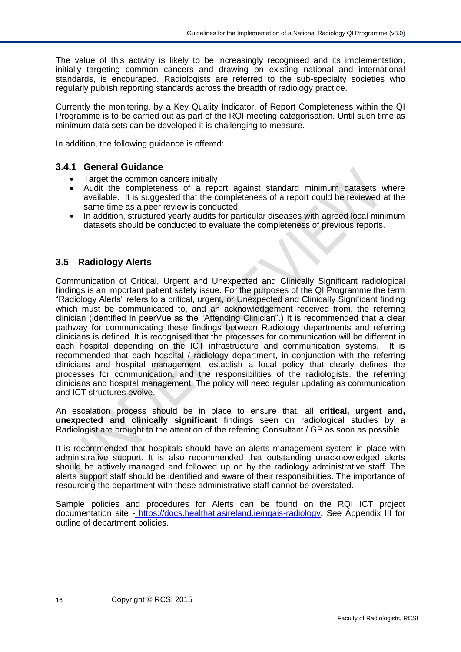The value of this activity is likely to be increasingly recognised and its implementation, initially targeting common cancers and drawing on existing national and international standards, is encouraged. Radiologists are referred to the sub-specialty societies who regularly publish reporting standards across the breadth of radiology practice.

Currently the monitoring, by a Key Quality Indicator, of Report Completeness within the QI Programme is to be carried out as part of the RQI meeting categorisation. Until such time as minimum data sets can be developed it is challenging to measure.

In addition, the following guidance is offered:

#### **3.4.1 General Guidance**

- Target the common cancers initially
- Audit the completeness of a report against standard minimum datasets where available. It is suggested that the completeness of a report could be reviewed at the same time as a peer review is conducted.
- In addition, structured yearly audits for particular diseases with agreed local minimum datasets should be conducted to evaluate the completeness of previous reports.

### <span id="page-15-0"></span>**3.5 Radiology Alerts**

Communication of Critical, Urgent and Unexpected and Clinically Significant radiological findings is an important patient safety issue. For the purposes of the QI Programme the term "Radiology Alerts" refers to a critical, urgent, or Unexpected and Clinically Significant finding which must be communicated to, and an acknowledgement received from, the referring clinician (identified in peerVue as the "Attending Clinician".) It is recommended that a clear pathway for communicating these findings between Radiology departments and referring clinicians is defined. It is recognised that the processes for communication will be different in each hospital depending on the ICT infrastructure and communication systems. It is recommended that each hospital / radiology department, in conjunction with the referring clinicians and hospital management, establish a local policy that clearly defines the processes for communication, and the responsibilities of the radiologists, the referring clinicians and hospital management. The policy will need regular updating as communication and ICT structures evolve.

An escalation process should be in place to ensure that, all **critical, urgent and, unexpected and clinically significant** findings seen on radiological studies by a Radiologist are brought to the attention of the referring Consultant / GP as soon as possible.

It is recommended that hospitals should have an alerts management system in place with administrative support. It is also recommended that outstanding unacknowledged alerts should be actively managed and followed up on by the radiology administrative staff. The alerts support staff should be identified and aware of their responsibilities. The importance of resourcing the department with these administrative staff cannot be overstated.

Sample policies and procedures for Alerts can be found on the RQI ICT project documentation site - https://docs.healthatlasireland.ie/nqais-radiology. See Appendix III for outline of department policies.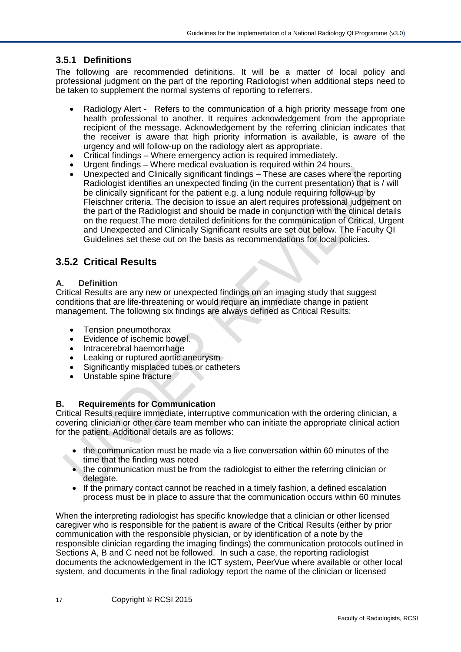## **3.5.1 Definitions**

The following are recommended definitions. It will be a matter of local policy and professional judgment on the part of the reporting Radiologist when additional steps need to be taken to supplement the normal systems of reporting to referrers.

- Radiology Alert Refers to the communication of a high priority message from one health professional to another. It requires acknowledgement from the appropriate recipient of the message. Acknowledgement by the referring clinician indicates that the receiver is aware that high priority information is available, is aware of the urgency and will follow-up on the radiology alert as appropriate.
- Critical findings Where emergency action is required immediately.
- Urgent findings Where medical evaluation is required within 24 hours.
- Unexpected and Clinically significant findings These are cases where the reporting Radiologist identifies an unexpected finding (in the current presentation) that is / will be clinically significant for the patient e.g. a lung nodule requiring follow-up by Fleischner criteria. The decision to issue an alert requires professional judgement on the part of the Radiologist and should be made in conjunction with the clinical details on the request.The more detailed definitions for the communication of Critical, Urgent and Unexpected and Clinically Significant results are set out below. The Faculty QI Guidelines set these out on the basis as recommendations for local policies.

## <span id="page-16-0"></span>**3.5.2 Critical Results**

#### **A. Definition**

Critical Results are any new or unexpected findings on an imaging study that suggest conditions that are life-threatening or would require an immediate change in patient management. The following six findings are always defined as Critical Results:

- Tension pneumothorax
- Evidence of ischemic bowel.
- Intracerebral haemorrhage
- Leaking or ruptured aortic aneurysm
- Significantly misplaced tubes or catheters
- Unstable spine fracture

#### **B. Requirements for Communication**

Critical Results require immediate, interruptive communication with the ordering clinician, a covering clinician or other care team member who can initiate the appropriate clinical action for the patient. Additional details are as follows:

- the communication must be made via a live conversation within 60 minutes of the time that the finding was noted
- the communication must be from the radiologist to either the referring clinician or delegate.
- If the primary contact cannot be reached in a timely fashion, a defined escalation process must be in place to assure that the communication occurs within 60 minutes

When the interpreting radiologist has specific knowledge that a clinician or other licensed caregiver who is responsible for the patient is aware of the Critical Results (either by prior communication with the responsible physician, or by identification of a note by the responsible clinician regarding the imaging findings) the communication protocols outlined in Sections A, B and C need not be followed. In such a case, the reporting radiologist documents the acknowledgement in the ICT system, PeerVue where available or other local system, and documents in the final radiology report the name of the clinician or licensed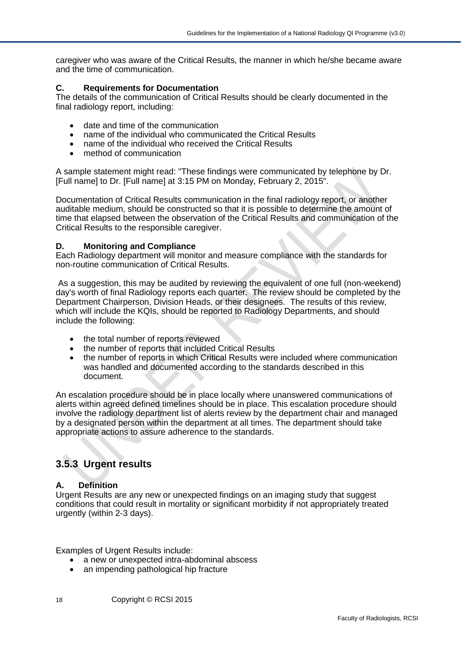caregiver who was aware of the Critical Results, the manner in which he/she became aware and the time of communication.

#### **C. Requirements for Documentation**

The details of the communication of Critical Results should be clearly documented in the final radiology report, including:

- date and time of the communication
- name of the individual who communicated the Critical Results
- name of the individual who received the Critical Results
- method of communication

A sample statement might read: "These findings were communicated by telephone by Dr. [Full name] to Dr. [Full name] at 3:15 PM on Monday, February 2, 2015".

Documentation of Critical Results communication in the final radiology report, or another auditable medium, should be constructed so that it is possible to determine the amount of time that elapsed between the observation of the Critical Results and communication of the Critical Results to the responsible caregiver.

#### **D. Monitoring and Compliance**

Each Radiology department will monitor and measure compliance with the standards for non-routine communication of Critical Results.

As a suggestion, this may be audited by reviewing the equivalent of one full (non-weekend) day's worth of final Radiology reports each quarter. The review should be completed by the Department Chairperson, Division Heads, or their designees. The results of this review, which will include the KQIs, should be reported to Radiology Departments, and should include the following:

- the total number of reports reviewed
- the number of reports that included Critical Results
- the number of reports in which Critical Results were included where communication was handled and documented according to the standards described in this document.

An escalation procedure should be in place locally where unanswered communications of alerts within agreed defined timelines should be in place. This escalation procedure should involve the radiology department list of alerts review by the department chair and managed by a designated person within the department at all times. The department should take appropriate actions to assure adherence to the standards.

## <span id="page-17-0"></span>**3.5.3 Urgent results**

#### **A. Definition**

Urgent Results are any new or unexpected findings on an imaging study that suggest conditions that could result in mortality or significant morbidity if not appropriately treated urgently (within 2-3 days).

Examples of Urgent Results include:

- a new or unexpected intra-abdominal abscess
- an impending pathological hip fracture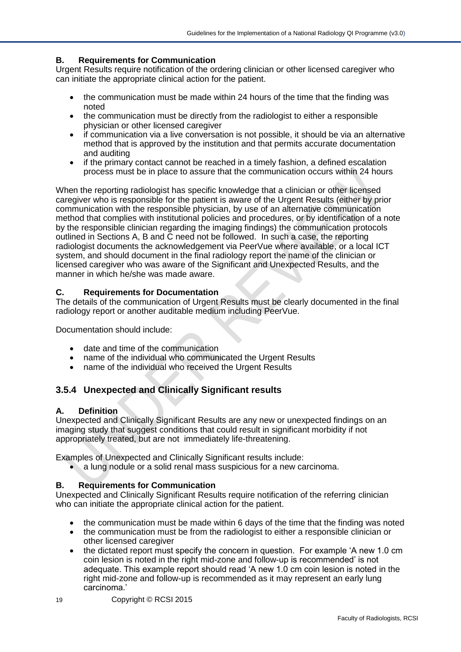## **B. Requirements for Communication**

Urgent Results require notification of the ordering clinician or other licensed caregiver who can initiate the appropriate clinical action for the patient.

- the communication must be made within 24 hours of the time that the finding was noted
- the communication must be directly from the radiologist to either a responsible physician or other licensed caregiver
- if communication via a live conversation is not possible, it should be via an alternative method that is approved by the institution and that permits accurate documentation and auditing
- if the primary contact cannot be reached in a timely fashion, a defined escalation process must be in place to assure that the communication occurs within 24 hours

When the reporting radiologist has specific knowledge that a clinician or other licensed caregiver who is responsible for the patient is aware of the Urgent Results (either by prior communication with the responsible physician, by use of an alternative communication method that complies with institutional policies and procedures, or by identification of a note by the responsible clinician regarding the imaging findings) the communication protocols outlined in Sections A, B and C need not be followed. In such a case, the reporting radiologist documents the acknowledgement via PeerVue where available, or a local ICT system, and should document in the final radiology report the name of the clinician or licensed caregiver who was aware of the Significant and Unexpected Results, and the manner in which he/she was made aware.

### **C. Requirements for Documentation**

The details of the communication of Urgent Results must be clearly documented in the final radiology report or another auditable medium including PeerVue.

Documentation should include:

- date and time of the communication
- name of the individual who communicated the Urgent Results
- name of the individual who received the Urgent Results

## <span id="page-18-0"></span>**3.5.4 Unexpected and Clinically Significant results**

### **A. Definition**

Unexpected and Clinically Significant Results are any new or unexpected findings on an imaging study that suggest conditions that could result in significant morbidity if not appropriately treated, but are not immediately life-threatening.

Examples of Unexpected and Clinically Significant results include:

• a lung nodule or a solid renal mass suspicious for a new carcinoma.

### **B. Requirements for Communication**

Unexpected and Clinically Significant Results require notification of the referring clinician who can initiate the appropriate clinical action for the patient.

- the communication must be made within 6 days of the time that the finding was noted
- the communication must be from the radiologist to either a responsible clinician or other licensed caregiver
- the dictated report must specify the concern in question. For example 'A new 1.0 cm coin lesion is noted in the right mid-zone and follow-up is recommended' is not adequate. This example report should read 'A new 1.0 cm coin lesion is noted in the right mid-zone and follow-up is recommended as it may represent an early lung carcinoma.'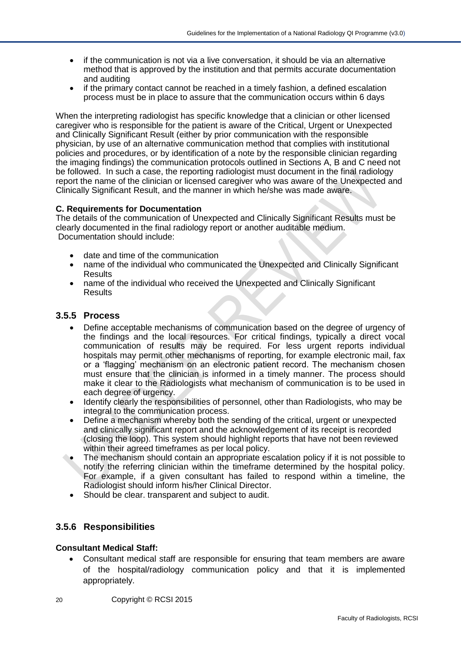- if the communication is not via a live conversation, it should be via an alternative method that is approved by the institution and that permits accurate documentation and auditing
- if the primary contact cannot be reached in a timely fashion, a defined escalation process must be in place to assure that the communication occurs within 6 days

When the interpreting radiologist has specific knowledge that a clinician or other licensed caregiver who is responsible for the patient is aware of the Critical, Urgent or Unexpected and Clinically Significant Result (either by prior communication with the responsible physician, by use of an alternative communication method that complies with institutional policies and procedures, or by identification of a note by the responsible clinician regarding the imaging findings) the communication protocols outlined in Sections A, B and C need not be followed. In such a case, the reporting radiologist must document in the final radiology report the name of the clinician or licensed caregiver who was aware of the Unexpected and Clinically Significant Result, and the manner in which he/she was made aware.

#### **C. Requirements for Documentation**

The details of the communication of Unexpected and Clinically Significant Results must be clearly documented in the final radiology report or another auditable medium. Documentation should include:

- date and time of the communication
- name of the individual who communicated the Unexpected and Clinically Significant **Results**
- name of the individual who received the Unexpected and Clinically Significant **Results**

#### **3.5.5 Process**

- Define acceptable mechanisms of communication based on the degree of urgency of the findings and the local resources. For critical findings, typically a direct vocal communication of results may be required. For less urgent reports individual hospitals may permit other mechanisms of reporting, for example electronic mail, fax or a 'flagging' mechanism on an electronic patient record. The mechanism chosen must ensure that the clinician is informed in a timely manner. The process should make it clear to the Radiologists what mechanism of communication is to be used in each degree of urgency.
- Identify clearly the responsibilities of personnel, other than Radiologists, who may be integral to the communication process.
- Define a mechanism whereby both the sending of the critical, urgent or unexpected and clinically significant report and the acknowledgement of its receipt is recorded (closing the loop). This system should highlight reports that have not been reviewed within their agreed timeframes as per local policy.
- The mechanism should contain an appropriate escalation policy if it is not possible to notify the referring clinician within the timeframe determined by the hospital policy. For example, if a given consultant has failed to respond within a timeline, the Radiologist should inform his/her Clinical Director.
- Should be clear. transparent and subject to audit.

### **3.5.6 Responsibilities**

#### **Consultant Medical Staff:**

- Consultant medical staff are responsible for ensuring that team members are aware of the hospital/radiology communication policy and that it is implemented appropriately.
- 20 Copyright © RCSI 2015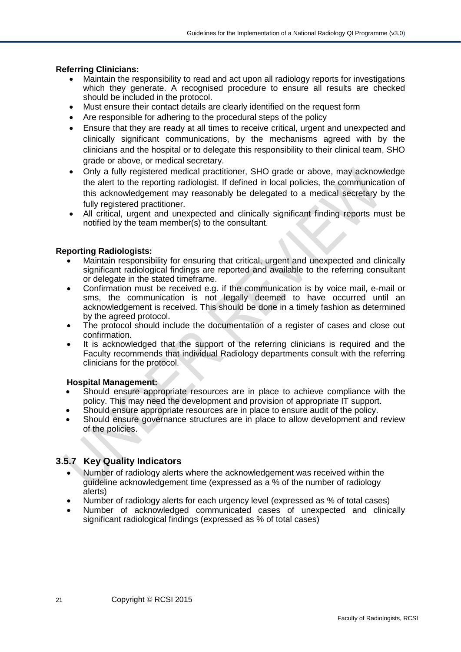#### **Referring Clinicians:**

- Maintain the responsibility to read and act upon all radiology reports for investigations which they generate. A recognised procedure to ensure all results are checked should be included in the protocol.
- Must ensure their contact details are clearly identified on the request form
- Are responsible for adhering to the procedural steps of the policy
- Ensure that they are ready at all times to receive critical, urgent and unexpected and clinically significant communications, by the mechanisms agreed with by the clinicians and the hospital or to delegate this responsibility to their clinical team, SHO grade or above, or medical secretary.
- Only a fully registered medical practitioner, SHO grade or above, may acknowledge the alert to the reporting radiologist. If defined in local policies, the communication of this acknowledgement may reasonably be delegated to a medical secretary by the fully registered practitioner.
- All critical, urgent and unexpected and clinically significant finding reports must be notified by the team member(s) to the consultant.

#### **Reporting Radiologists:**

- Maintain responsibility for ensuring that critical, urgent and unexpected and clinically significant radiological findings are reported and available to the referring consultant or delegate in the stated timeframe.
- Confirmation must be received e.g. if the communication is by voice mail, e-mail or sms, the communication is not legally deemed to have occurred until an acknowledgement is received. This should be done in a timely fashion as determined by the agreed protocol.
- The protocol should include the documentation of a register of cases and close out confirmation.
- It is acknowledged that the support of the referring clinicians is required and the Faculty recommends that individual Radiology departments consult with the referring clinicians for the protocol.

#### **Hospital Management:**

- Should ensure appropriate resources are in place to achieve compliance with the policy. This may need the development and provision of appropriate IT support.
- Should ensure appropriate resources are in place to ensure audit of the policy.
- Should ensure governance structures are in place to allow development and review of the policies.

### <span id="page-20-0"></span>**3.5.7 Key Quality Indicators**

- Number of radiology alerts where the acknowledgement was received within the guideline acknowledgement time (expressed as a % of the number of radiology alerts)
- Number of radiology alerts for each urgency level (expressed as % of total cases)
- Number of acknowledged communicated cases of unexpected and clinically significant radiological findings (expressed as % of total cases)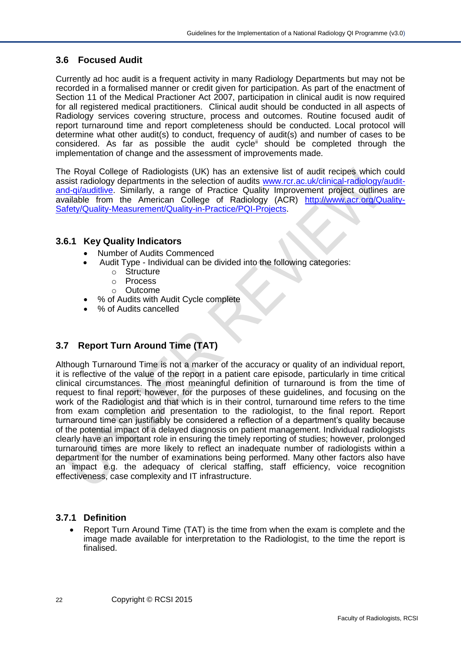## <span id="page-21-0"></span>**3.6 Focused Audit**

Currently ad hoc audit is a frequent activity in many Radiology Departments but may not be recorded in a formalised manner or credit given for participation. As part of the enactment of Section 11 of the Medical Practioner Act 2007, participation in clinical audit is now required for all registered medical practitioners. Clinical audit should be conducted in all aspects of Radiology services covering structure, process and outcomes. Routine focused audit of report turnaround time and report completeness should be conducted. Local protocol will determine what other audit(s) to conduct, frequency of audit(s) and number of cases to be considered. As far as possible the audit cycle<sup>ii</sup> should be completed through the implementation of change and the assessment of improvements made.

The Royal College of Radiologists (UK) has an extensive list of audit recipes which could assist radiology departments in the selection of audits [www.rcr.ac.uk/clinical-radiology/audit](http://www.rcr.ac.uk/clinical-radiology/audit-and-qi/auditlive)[and-qi/auditlive.](http://www.rcr.ac.uk/clinical-radiology/audit-and-qi/auditlive) Similarly, a range of Practice Quality Improvement project outlines are available from the American College of Radiology (ACR) [http://www.acr.org/Quality-](http://www.acr.org/Quality-Safety/Quality-Measurement/Quality-in-Practice/PQI-Projects)[Safety/Quality-Measurement/Quality-in-Practice/PQI-Projects.](http://www.acr.org/Quality-Safety/Quality-Measurement/Quality-in-Practice/PQI-Projects)

## <span id="page-21-1"></span>**3.6.1 Key Quality Indicators**

- Number of Audits Commenced
- Audit Type Individual can be divided into the following categories:
	- o Structure
	- o Process
	- o Outcome
- % of Audits with Audit Cycle complete
- % of Audits cancelled

## <span id="page-21-2"></span>**3.7 Report Turn Around Time (TAT)**

Although Turnaround Time is not a marker of the accuracy or quality of an individual report, it is reflective of the value of the report in a patient care episode, particularly in time critical clinical circumstances. The most meaningful definition of turnaround is from the time of request to final report; however, for the purposes of these guidelines, and focusing on the work of the Radiologist and that which is in their control, turnaround time refers to the time from exam completion and presentation to the radiologist, to the final report. Report turnaround time can justifiably be considered a reflection of a department's quality because of the potential impact of a delayed diagnosis on patient management. Individual radiologists clearly have an important role in ensuring the timely reporting of studies; however, prolonged turnaround times are more likely to reflect an inadequate number of radiologists within a department for the number of examinations being performed. Many other factors also have an impact e.g. the adequacy of clerical staffing, staff efficiency, voice recognition effectiveness, case complexity and IT infrastructure.

### **3.7.1 Definition**

• Report Turn Around Time (TAT) is the time from when the exam is complete and the image made available for interpretation to the Radiologist, to the time the report is finalised.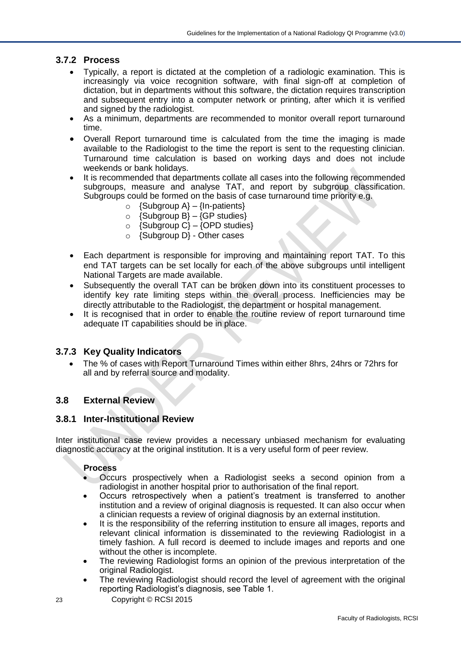### **3.7.2 Process**

- Typically, a report is dictated at the completion of a radiologic examination. This is increasingly via voice recognition software, with final sign-off at completion of dictation, but in departments without this software, the dictation requires transcription and subsequent entry into a computer network or printing, after which it is verified and signed by the radiologist.
- As a minimum, departments are recommended to monitor overall report turnaround time.
- Overall Report turnaround time is calculated from the time the imaging is made available to the Radiologist to the time the report is sent to the requesting clinician. Turnaround time calculation is based on working days and does not include weekends or bank holidays.
- It is recommended that departments collate all cases into the following recommended subgroups, measure and analyse TAT, and report by subgroup classification. Subgroups could be formed on the basis of case turnaround time priority e.g.
	- $\circ$  {Subgroup A} {In-patients}
	- $\circ$  {Subgroup B} {GP studies}
	- $\circ$  {Subgroup C} {OPD studies}
	- o {Subgroup D} Other cases
- Each department is responsible for improving and maintaining report TAT. To this end TAT targets can be set locally for each of the above subgroups until intelligent National Targets are made available.
- Subsequently the overall TAT can be broken down into its constituent processes to identify key rate limiting steps within the overall process. Inefficiencies may be directly attributable to the Radiologist, the department or hospital management.
- It is recognised that in order to enable the routine review of report turnaround time adequate IT capabilities should be in place.

#### <span id="page-22-0"></span>**3.7.3 Key Quality Indicators**

• The % of cases with Report Turnaround Times within either 8hrs, 24hrs or 72hrs for all and by referral source and modality.

### <span id="page-22-1"></span>**3.8 External Review**

#### <span id="page-22-2"></span>**3.8.1 Inter-Institutional Review**

Inter institutional case review provides a necessary unbiased mechanism for evaluating diagnostic accuracy at the original institution. It is a very useful form of peer review.

#### **Process**

- Occurs prospectively when a Radiologist seeks a second opinion from a radiologist in another hospital prior to authorisation of the final report.
- Occurs retrospectively when a patient's treatment is transferred to another institution and a review of original diagnosis is requested. It can also occur when a clinician requests a review of original diagnosis by an external institution.
- It is the responsibility of the referring institution to ensure all images, reports and relevant clinical information is disseminated to the reviewing Radiologist in a timely fashion. A full record is deemed to include images and reports and one without the other is incomplete.
- The reviewing Radiologist forms an opinion of the previous interpretation of the original Radiologist.
- The reviewing Radiologist should record the level of agreement with the original reporting Radiologist's diagnosis, see Table 1.
- 23 Copyright © RCSI 2015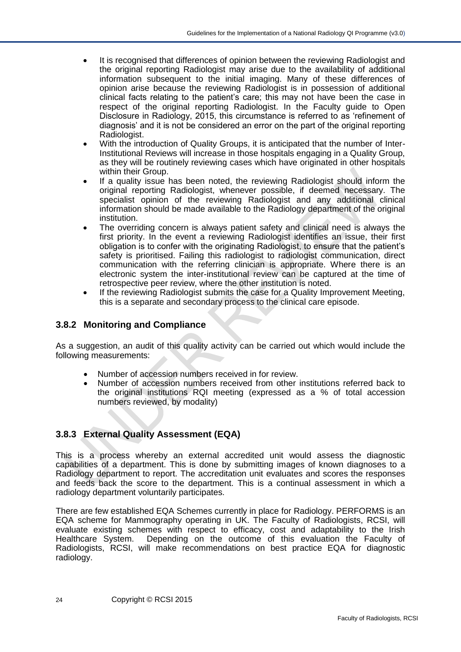- It is recognised that differences of opinion between the reviewing Radiologist and the original reporting Radiologist may arise due to the availability of additional information subsequent to the initial imaging. Many of these differences of opinion arise because the reviewing Radiologist is in possession of additional clinical facts relating to the patient's care; this may not have been the case in respect of the original reporting Radiologist. In the Faculty guide to Open Disclosure in Radiology, 2015, this circumstance is referred to as 'refinement of diagnosis' and it is not be considered an error on the part of the original reporting Radiologist.
- With the introduction of Quality Groups, it is anticipated that the number of Inter-Institutional Reviews will increase in those hospitals engaging in a Quality Group, as they will be routinely reviewing cases which have originated in other hospitals within their Group.
- If a quality issue has been noted, the reviewing Radiologist should inform the original reporting Radiologist, whenever possible, if deemed necessary. The specialist opinion of the reviewing Radiologist and any additional clinical information should be made available to the Radiology department of the original institution.
- The overriding concern is always patient safety and clinical need is always the first priority. In the event a reviewing Radiologist identifies an issue, their first obligation is to confer with the originating Radiologist, to ensure that the patient's safety is prioritised. Failing this radiologist to radiologist communication, direct communication with the referring clinician is appropriate. Where there is an electronic system the inter-institutional review can be captured at the time of retrospective peer review, where the other institution is noted.
- If the reviewing Radiologist submits the case for a Quality Improvement Meeting, this is a separate and secondary process to the clinical care episode.

## **3.8.2 Monitoring and Compliance**

As a suggestion, an audit of this quality activity can be carried out which would include the following measurements:

- Number of accession numbers received in for review.
- Number of accession numbers received from other institutions referred back to the original institutions RQI meeting (expressed as a % of total accession numbers reviewed, by modality)

### <span id="page-23-0"></span>**3.8.3 External Quality Assessment (EQA)**

This is a process whereby an external accredited unit would assess the diagnostic capabilities of a department. This is done by submitting images of known diagnoses to a Radiology department to report. The accreditation unit evaluates and scores the responses and feeds back the score to the department. This is a continual assessment in which a radiology department voluntarily participates.

There are few established EQA Schemes currently in place for Radiology. PERFORMS is an EQA scheme for Mammography operating in UK. The Faculty of Radiologists, RCSI, will evaluate existing schemes with respect to efficacy, cost and adaptability to the Irish Healthcare System. Depending on the outcome of this evaluation the Faculty of Radiologists, RCSI, will make recommendations on best practice EQA for diagnostic radiology.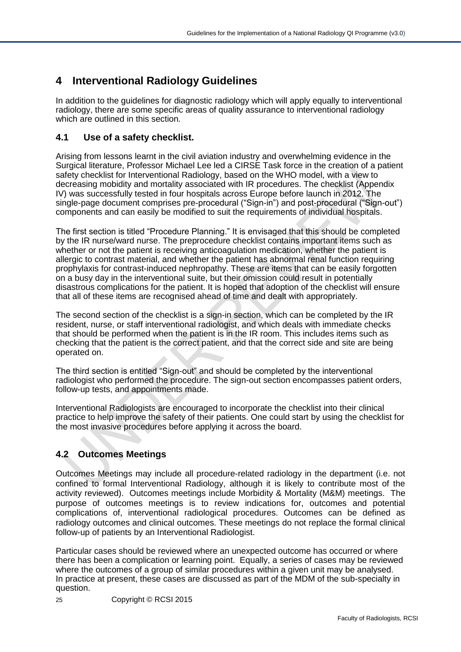# <span id="page-24-0"></span>**4 Interventional Radiology Guidelines**

In addition to the guidelines for diagnostic radiology which will apply equally to interventional radiology, there are some specific areas of quality assurance to interventional radiology which are outlined in this section.

## <span id="page-24-1"></span>**4.1 Use of a safety checklist.**

Arising from lessons learnt in the civil aviation industry and overwhelming evidence in the Surgical literature, Professor Michael Lee led a CIRSE Task force in the creation of a patient safety checklist for Interventional Radiology, based on the WHO model, with a view to decreasing mobidity and mortality associated with IR procedures. The checklist (Appendix IV) was successfully tested in four hospitals across Europe before launch in 2012. The single-page document comprises pre-procedural ("Sign-in") and post-procedural ("Sign-out") components and can easily be modified to suit the requirements of individual hospitals.

The first section is titled "Procedure Planning." It is envisaged that this should be completed by the IR nurse/ward nurse. The preprocedure checklist contains important items such as whether or not the patient is receiving anticoagulation medication, whether the patient is allergic to contrast material, and whether the patient has abnormal renal function requiring prophylaxis for contrast-induced nephropathy. These are items that can be easily forgotten on a busy day in the interventional suite, but their omission could result in potentially disastrous complications for the patient. It is hoped that adoption of the checklist will ensure that all of these items are recognised ahead of time and dealt with appropriately.

The second section of the checklist is a sign-in section, which can be completed by the IR resident, nurse, or staff interventional radiologist, and which deals with immediate checks that should be performed when the patient is in the IR room. This includes items such as checking that the patient is the correct patient, and that the correct side and site are being operated on.

The third section is entitled "Sign-out" and should be completed by the interventional radiologist who performed the procedure. The sign-out section encompasses patient orders, follow-up tests, and appointments made.

Interventional Radiologists are encouraged to incorporate the checklist into their clinical practice to help improve the safety of their patients. One could start by using the checklist for the most invasive procedures before applying it across the board.

## <span id="page-24-2"></span>**4.2 Outcomes Meetings**

Outcomes Meetings may include all procedure-related radiology in the department (i.e. not confined to formal Interventional Radiology, although it is likely to contribute most of the activity reviewed). Outcomes meetings include Morbidity & Mortality (M&M) meetings. The purpose of outcomes meetings is to review indications for, outcomes and potential complications of, interventional radiological procedures. Outcomes can be defined as radiology outcomes and clinical outcomes. These meetings do not replace the formal clinical follow-up of patients by an Interventional Radiologist.

Particular cases should be reviewed where an unexpected outcome has occurred or where there has been a complication or learning point. Equally, a series of cases may be reviewed where the outcomes of a group of similar procedures within a given unit may be analysed. In practice at present, these cases are discussed as part of the MDM of the sub-specialty in question.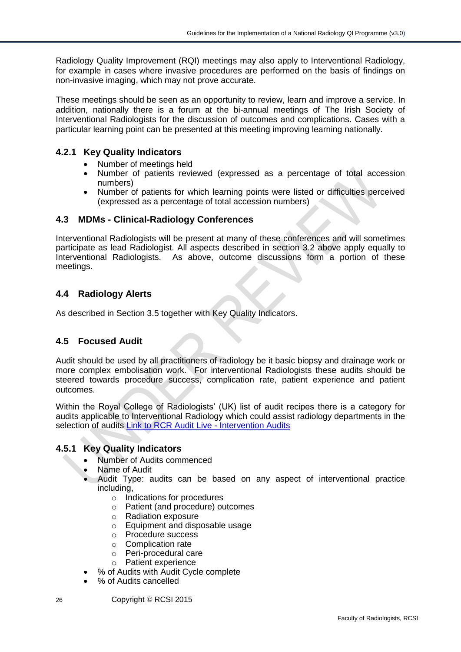Radiology Quality Improvement (RQI) meetings may also apply to Interventional Radiology, for example in cases where invasive procedures are performed on the basis of findings on non-invasive imaging, which may not prove accurate.

These meetings should be seen as an opportunity to review, learn and improve a service. In addition, nationally there is a forum at the bi-annual meetings of The Irish Society of Interventional Radiologists for the discussion of outcomes and complications. Cases with a particular learning point can be presented at this meeting improving learning nationally.

### <span id="page-25-0"></span>**4.2.1 Key Quality Indicators**

- Number of meetings held
- Number of patients reviewed (expressed as a percentage of total accession numbers)
- Number of patients for which learning points were listed or difficulties perceived (expressed as a percentage of total accession numbers)

### <span id="page-25-1"></span>**4.3 MDMs - Clinical-Radiology Conferences**

Interventional Radiologists will be present at many of these conferences and will sometimes participate as lead Radiologist. All aspects described in section 3.2 above apply equally to Interventional Radiologists. As above, outcome discussions form a portion of these meetings.

## <span id="page-25-2"></span>**4.4 Radiology Alerts**

As described in Section 3.5 together with Key Quality Indicators.

### <span id="page-25-3"></span>**4.5 Focused Audit**

Audit should be used by all practitioners of radiology be it basic biopsy and drainage work or more complex embolisation work. For interventional Radiologists these audits should be steered towards procedure success, complication rate, patient experience and patient outcomes.

Within the Royal College of Radiologists' (UK) list of audit recipes there is a category for audits applicable to Interventional Radiology which could assist radiology departments in the selection of audits [Link to RCR Audit Live -](http://www.rcr.ac.uk/audittemplate.aspx?PageID=1020&keywordID=19) Intervention Audits

#### <span id="page-25-4"></span>**4.5.1 Key Quality Indicators**

- Number of Audits commenced
- Name of Audit
- Audit Type: audits can be based on any aspect of interventional practice including,
	- o Indications for procedures
	- o Patient (and procedure) outcomes
	- o Radiation exposure
	- o Equipment and disposable usage
	- o Procedure success
	- o Complication rate
	- o Peri-procedural care
	- o Patient experience
- % of Audits with Audit Cycle complete
- % of Audits cancelled
- 26 Copyright © RCSI 2015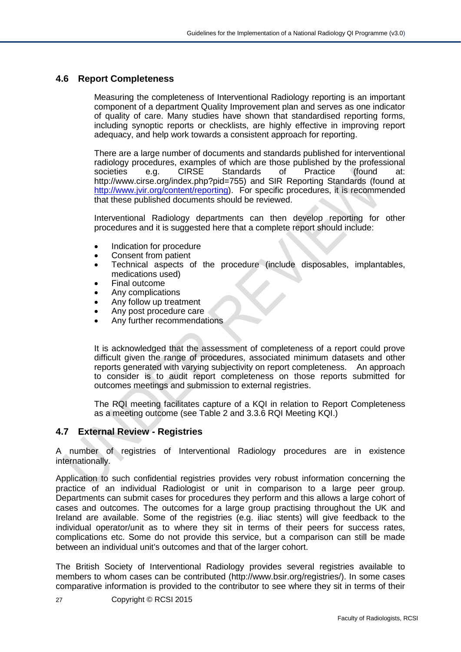#### <span id="page-26-0"></span>**4.6 Report Completeness**

Measuring the completeness of Interventional Radiology reporting is an important component of a department Quality Improvement plan and serves as one indicator of quality of care. Many studies have shown that standardised reporting forms, including synoptic reports or checklists, are highly effective in improving report adequacy, and help work towards a consistent approach for reporting.

There are a large number of documents and standards published for interventional radiology procedures, examples of which are those published by the professional societies e.g. CIRSE Standards of Practice (found at: http://www.cirse.org/index.php?pid=755) and SIR Reporting Standards (found at [http://www.jvir.org/content/reporting\)](http://www.jvir.org/content/reporting). For specific procedures, it is recommended that these published documents should be reviewed.

Interventional Radiology departments can then develop reporting for other procedures and it is suggested here that a complete report should include:

- Indication for procedure
- Consent from patient
- Technical aspects of the procedure (include disposables, implantables, medications used)
- Final outcome
- Any complications
- Any follow up treatment
- Any post procedure care
- Any further recommendations

It is acknowledged that the assessment of completeness of a report could prove difficult given the range of procedures, associated minimum datasets and other reports generated with varying subjectivity on report completeness. An approach to consider is to audit report completeness on those reports submitted for outcomes meetings and submission to external registries.

The RQI meeting facilitates capture of a KQI in relation to Report Completeness as a meeting outcome (see Table 2 and 3.3.6 RQI Meeting KQI.)

### <span id="page-26-1"></span>**4.7 External Review - Registries**

A number of registries of Interventional Radiology procedures are in existence internationally.

Application to such confidential registries provides very robust information concerning the practice of an individual Radiologist or unit in comparison to a large peer group. Departments can submit cases for procedures they perform and this allows a large cohort of cases and outcomes. The outcomes for a large group practising throughout the UK and Ireland are available. Some of the registries (e.g. iliac stents) will give feedback to the individual operator/unit as to where they sit in terms of their peers for success rates, complications etc. Some do not provide this service, but a comparison can still be made between an individual unit's outcomes and that of the larger cohort.

The British Society of Interventional Radiology provides several registries available to members to whom cases can be contributed (http://www.bsir.org/registries/). In some cases comparative information is provided to the contributor to see where they sit in terms of their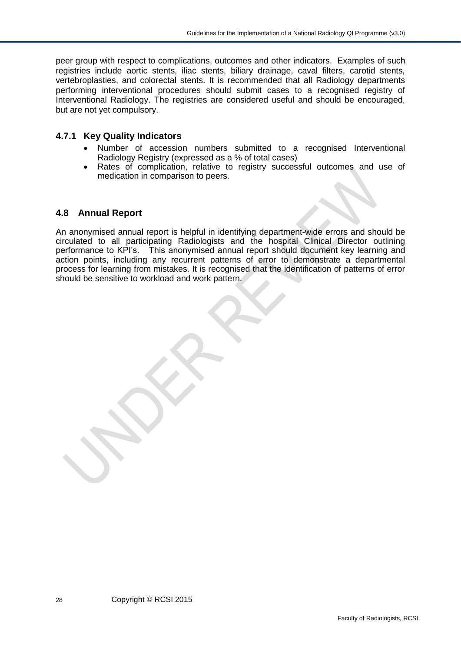peer group with respect to complications, outcomes and other indicators. Examples of such registries include aortic stents, iliac stents, biliary drainage, caval filters, carotid stents, vertebroplasties, and colorectal stents. It is recommended that all Radiology departments performing interventional procedures should submit cases to a recognised registry of Interventional Radiology. The registries are considered useful and should be encouraged, but are not yet compulsory.

#### <span id="page-27-0"></span>**4.7.1 Key Quality Indicators**

- Number of accession numbers submitted to a recognised Interventional Radiology Registry (expressed as a % of total cases)
- Rates of complication, relative to registry successful outcomes and use of medication in comparison to peers.

#### <span id="page-27-1"></span>**4.8 Annual Report**

An anonymised annual report is helpful in identifying department-wide errors and should be circulated to all participating Radiologists and the hospital Clinical Director outlining performance to KPI's. This anonymised annual report should document key learning and action points, including any recurrent patterns of error to demonstrate a departmental process for learning from mistakes. It is recognised that the identification of patterns of error should be sensitive to workload and work pattern.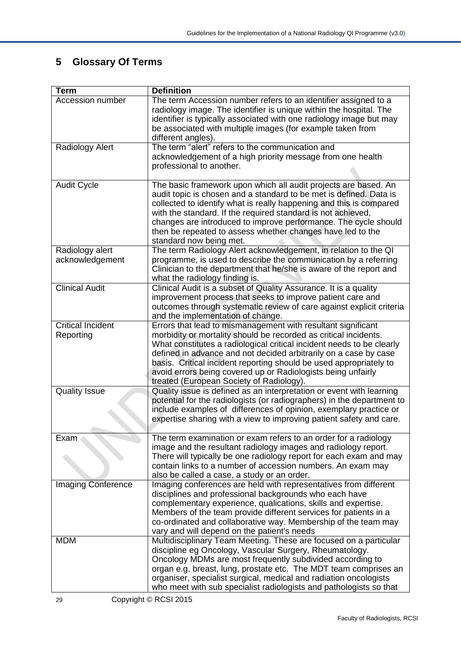# <span id="page-28-0"></span>**5 Glossary Of Terms**

| <b>Term</b>                           | <b>Definition</b>                                                                                                                                                                                                                                                                                                                                                                                                                                               |
|---------------------------------------|-----------------------------------------------------------------------------------------------------------------------------------------------------------------------------------------------------------------------------------------------------------------------------------------------------------------------------------------------------------------------------------------------------------------------------------------------------------------|
| <b>Accession number</b>               | The term Accession number refers to an identifier assigned to a<br>radiology image. The identifier is unique within the hospital. The<br>identifier is typically associated with one radiology image but may<br>be associated with multiple images (for example taken from<br>different angles).                                                                                                                                                                |
| Radiology Alert                       | The term "alert" refers to the communication and<br>acknowledgement of a high priority message from one health<br>professional to another.                                                                                                                                                                                                                                                                                                                      |
| <b>Audit Cycle</b>                    | The basic framework upon which all audit projects are based. An<br>audit topic is chosen and a standard to be met is defined. Data is<br>collected to identify what is really happening and this is compared<br>with the standard. If the required standard is not achieved,<br>changes are introduced to improve performance. The cycle should<br>then be repeated to assess whether changes have led to the<br>standard now being met.                        |
| Radiology alert<br>acknowledgement    | The term Radiology Alert acknowledgement, in relation to the QI<br>programme, is used to describe the communication by a referring<br>Clinician to the department that he/she is aware of the report and<br>what the radiology finding is.                                                                                                                                                                                                                      |
| <b>Clinical Audit</b>                 | Clinical Audit is a subset of Quality Assurance. It is a quality<br>improvement process that seeks to improve patient care and<br>outcomes through systematic review of care against explicit criteria<br>and the implementation of change.                                                                                                                                                                                                                     |
| <b>Critical Incident</b><br>Reporting | Errors that lead to mismanagement with resultant significant<br>morbidity or mortality should be recorded as critical incidents.<br>What constitutes a radiological critical incident needs to be clearly<br>defined in advance and not decided arbitrarily on a case by case<br>basis. Critical incident reporting should be used appropriately to<br>avoid errors being covered up or Radiologists being unfairly<br>treated (European Society of Radiology). |
| <b>Quality Issue</b>                  | Quality issue is defined as an interpretation or event with learning<br>potential for the radiologists (or radiographers) in the department to<br>include examples of differences of opinion, exemplary practice or<br>expertise sharing with a view to improving patient safety and care.                                                                                                                                                                      |
| Exam                                  | The term examination or exam refers to an order for a radiology<br>image and the resultant radiology images and radiology report.<br>There will typically be one radiology report for each exam and may<br>contain links to a number of accession numbers. An exam may<br>also be called a case, a study or an order.                                                                                                                                           |
| <b>Imaging Conference</b>             | Imaging conferences are held with representatives from different<br>disciplines and professional backgrounds who each have<br>complementary experience, qualications, skills and expertise.<br>Members of the team provide different services for patients in a<br>co-ordinated and collaborative way. Membership of the team may<br>vary and will depend on the patient's needs                                                                                |
| <b>MDM</b>                            | Multidisciplinary Team Meeting. These are focused on a particular<br>discipline eg Oncology, Vascular Surgery, Rheumatology.<br>Oncology MDMs are most frequently subdivided according to<br>organ e.g. breast, lung, prostate etc. The MDT team comprises an<br>organiser, specialist surgical, medical and radiation oncologists<br>who meet with sub specialist radiologists and pathologists so that                                                        |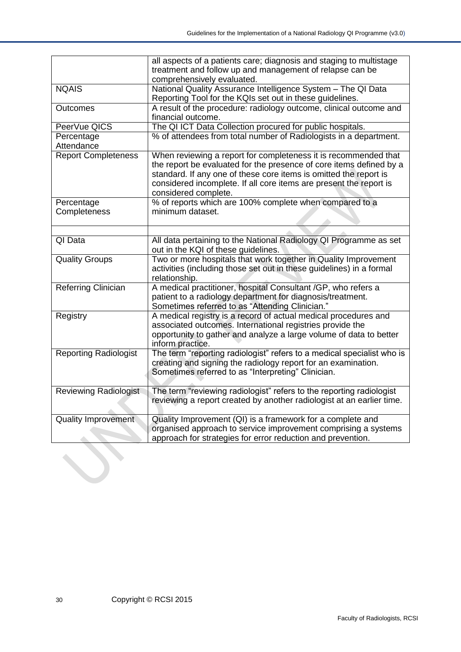|                              | all aspects of a patients care; diagnosis and staging to multistage    |  |  |  |
|------------------------------|------------------------------------------------------------------------|--|--|--|
|                              | treatment and follow up and management of relapse can be               |  |  |  |
|                              | comprehensively evaluated.                                             |  |  |  |
| <b>NQAIS</b>                 | National Quality Assurance Intelligence System - The QI Data           |  |  |  |
|                              | Reporting Tool for the KQIs set out in these guidelines.               |  |  |  |
| Outcomes                     | A result of the procedure: radiology outcome, clinical outcome and     |  |  |  |
|                              | financial outcome.                                                     |  |  |  |
| PeerVue QICS                 | The QI ICT Data Collection procured for public hospitals.              |  |  |  |
| Percentage                   | % of attendees from total number of Radiologists in a department.      |  |  |  |
| Attendance                   |                                                                        |  |  |  |
| <b>Report Completeness</b>   | When reviewing a report for completeness it is recommended that        |  |  |  |
|                              | the report be evaluated for the presence of core items defined by a    |  |  |  |
|                              | standard. If any one of these core items is omitted the report is      |  |  |  |
|                              | considered incomplete. If all core items are present the report is     |  |  |  |
|                              | considered complete.                                                   |  |  |  |
| Percentage                   | % of reports which are 100% complete when compared to a                |  |  |  |
| Completeness                 | minimum dataset.                                                       |  |  |  |
|                              |                                                                        |  |  |  |
|                              |                                                                        |  |  |  |
| QI Data                      | All data pertaining to the National Radiology QI Programme as set      |  |  |  |
|                              | out in the KQI of these guidelines.                                    |  |  |  |
| <b>Quality Groups</b>        | Two or more hospitals that work together in Quality Improvement        |  |  |  |
|                              | activities (including those set out in these guidelines) in a formal   |  |  |  |
|                              | relationship.                                                          |  |  |  |
| Referring Clinician          | A medical practitioner, hospital Consultant /GP, who refers a          |  |  |  |
|                              | patient to a radiology department for diagnosis/treatment.             |  |  |  |
|                              | Sometimes referred to as "Attending Clinician."                        |  |  |  |
| Registry                     | A medical registry is a record of actual medical procedures and        |  |  |  |
|                              | associated outcomes. International registries provide the              |  |  |  |
|                              | opportunity to gather and analyze a large volume of data to better     |  |  |  |
|                              | inform practice.                                                       |  |  |  |
| <b>Reporting Radiologist</b> | The term "reporting radiologist" refers to a medical specialist who is |  |  |  |
|                              | creating and signing the radiology report for an examination.          |  |  |  |
|                              | Sometimes referred to as "Interpreting" Clinician.                     |  |  |  |
|                              |                                                                        |  |  |  |
| <b>Reviewing Radiologist</b> | The term "reviewing radiologist" refers to the reporting radiologist   |  |  |  |
|                              | reviewing a report created by another radiologist at an earlier time.  |  |  |  |
|                              |                                                                        |  |  |  |
| <b>Quality Improvement</b>   | Quality Improvement (QI) is a framework for a complete and             |  |  |  |
|                              | organised approach to service improvement comprising a systems         |  |  |  |
|                              | approach for strategies for error reduction and prevention.            |  |  |  |
|                              |                                                                        |  |  |  |
|                              |                                                                        |  |  |  |
|                              |                                                                        |  |  |  |
|                              |                                                                        |  |  |  |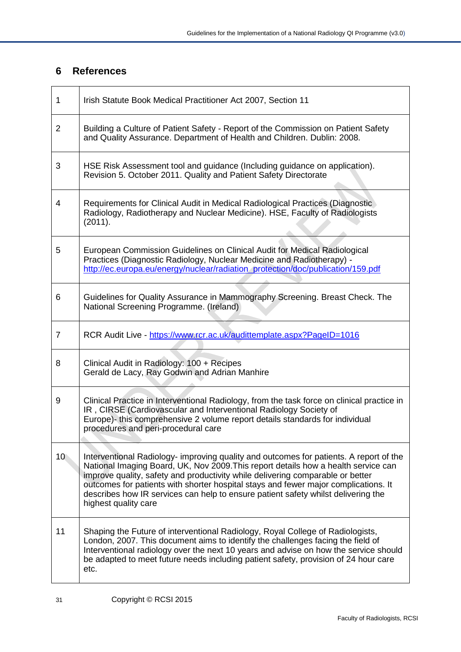## <span id="page-30-0"></span>**6 References**

| 1               | Irish Statute Book Medical Practitioner Act 2007, Section 11                                                                                                                                                                                                                                                                                                                                                                                                       |
|-----------------|--------------------------------------------------------------------------------------------------------------------------------------------------------------------------------------------------------------------------------------------------------------------------------------------------------------------------------------------------------------------------------------------------------------------------------------------------------------------|
| $\overline{2}$  | Building a Culture of Patient Safety - Report of the Commission on Patient Safety<br>and Quality Assurance. Department of Health and Children. Dublin: 2008.                                                                                                                                                                                                                                                                                                       |
| 3               | HSE Risk Assessment tool and guidance (Including guidance on application).<br>Revision 5. October 2011. Quality and Patient Safety Directorate                                                                                                                                                                                                                                                                                                                     |
| 4               | Requirements for Clinical Audit in Medical Radiological Practices (Diagnostic<br>Radiology, Radiotherapy and Nuclear Medicine). HSE, Faculty of Radiologists<br>(2011).                                                                                                                                                                                                                                                                                            |
| 5               | European Commission Guidelines on Clinical Audit for Medical Radiological<br>Practices (Diagnostic Radiology, Nuclear Medicine and Radiotherapy) -<br>http://ec.europa.eu/energy/nuclear/radiation protection/doc/publication/159.pdf                                                                                                                                                                                                                              |
| 6               | Guidelines for Quality Assurance in Mammography Screening. Breast Check. The<br>National Screening Programme. (Ireland)                                                                                                                                                                                                                                                                                                                                            |
| $\overline{7}$  | RCR Audit Live - https://www.rcr.ac.uk/audittemplate.aspx?PageID=1016                                                                                                                                                                                                                                                                                                                                                                                              |
| 8               | Clinical Audit in Radiology: 100 + Recipes<br>Gerald de Lacy, Ray Godwin and Adrian Manhire                                                                                                                                                                                                                                                                                                                                                                        |
| 9               | Clinical Practice in Interventional Radiology, from the task force on clinical practice in<br>IR, CIRSE (Cardiovascular and Interventional Radiology Society of<br>Europe)- this comprehensive 2 volume report details standards for individual<br>procedures and peri-procedural care                                                                                                                                                                             |
| 10 <sup>°</sup> | Interventional Radiology- improving quality and outcomes for patients. A report of the<br>National Imaging Board, UK, Nov 2009. This report details how a health service can<br>improve quality, safety and productivity while delivering comparable or better<br>outcomes for patients with shorter hospital stays and fewer major complications. It<br>describes how IR services can help to ensure patient safety whilst delivering the<br>highest quality care |
| 11              | Shaping the Future of interventional Radiology, Royal College of Radiologists,<br>London, 2007. This document aims to identify the challenges facing the field of<br>Interventional radiology over the next 10 years and advise on how the service should<br>be adapted to meet future needs including patient safety, provision of 24 hour care<br>etc.                                                                                                           |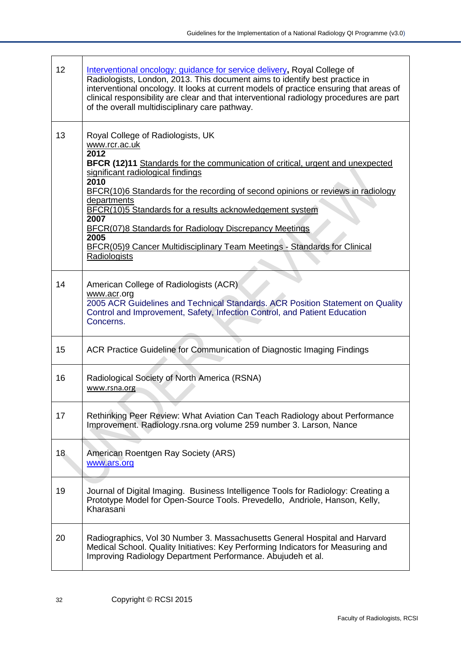$\overline{\phantom{a}}$ 

| 12              | Interventional oncology: guidance for service delivery, Royal College of<br>Radiologists, London, 2013. This document aims to identify best practice in<br>interventional oncology. It looks at current models of practice ensuring that areas of<br>clinical responsibility are clear and that interventional radiology procedures are part<br>of the overall multidisciplinary care pathway.                                                                                                                                         |
|-----------------|----------------------------------------------------------------------------------------------------------------------------------------------------------------------------------------------------------------------------------------------------------------------------------------------------------------------------------------------------------------------------------------------------------------------------------------------------------------------------------------------------------------------------------------|
| 13              | Royal College of Radiologists, UK<br>www.rcr.ac.uk<br>2012<br>BFCR (12)11 Standards for the communication of critical, urgent and unexpected<br>significant radiological findings<br>2010<br>BFCR(10)6 Standards for the recording of second opinions or reviews in radiology<br>departments<br>BFCR(10)5 Standards for a results acknowledgement system<br>2007<br><b>BFCR(07)8 Standards for Radiology Discrepancy Meetings</b><br>2005<br>BFCR(05)9 Cancer Multidisciplinary Team Meetings - Standards for Clinical<br>Radiologists |
| 14              | American College of Radiologists (ACR)<br>www.acr.org<br>2005 ACR Guidelines and Technical Standards. ACR Position Statement on Quality<br>Control and Improvement, Safety, Infection Control, and Patient Education<br>Concerns.                                                                                                                                                                                                                                                                                                      |
| 15              | ACR Practice Guideline for Communication of Diagnostic Imaging Findings                                                                                                                                                                                                                                                                                                                                                                                                                                                                |
| 16              | Radiological Society of North America (RSNA)<br>www.rsna.org                                                                                                                                                                                                                                                                                                                                                                                                                                                                           |
| 17              | Rethinking Peer Review: What Aviation Can Teach Radiology about Performance<br>Improvement. Radiology.rsna.org volume 259 number 3. Larson, Nance                                                                                                                                                                                                                                                                                                                                                                                      |
| 18 <sub>1</sub> | American Roentgen Ray Society (ARS)<br>www.ars.org                                                                                                                                                                                                                                                                                                                                                                                                                                                                                     |
| 19              | Journal of Digital Imaging. Business Intelligence Tools for Radiology: Creating a<br>Prototype Model for Open-Source Tools. Prevedello, Andriole, Hanson, Kelly,<br>Kharasani                                                                                                                                                                                                                                                                                                                                                          |
| 20              | Radiographics, Vol 30 Number 3. Massachusetts General Hospital and Harvard<br>Medical School. Quality Initiatives: Key Performing Indicators for Measuring and<br>Improving Radiology Department Performance. Abujudeh et al.                                                                                                                                                                                                                                                                                                          |

 $\mathsf{r}$ 

 $\top$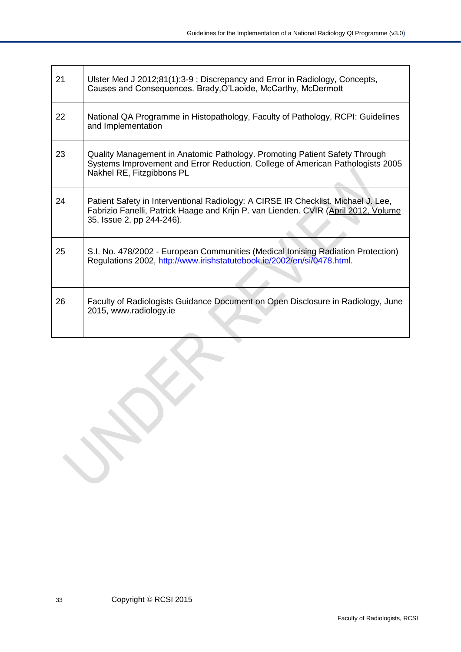| 21 | Ulster Med J 2012;81(1):3-9; Discrepancy and Error in Radiology, Concepts,<br>Causes and Consequences. Brady, O'Laoide, McCarthy, McDermott                                                          |
|----|------------------------------------------------------------------------------------------------------------------------------------------------------------------------------------------------------|
| 22 | National QA Programme in Histopathology, Faculty of Pathology, RCPI: Guidelines<br>and Implementation                                                                                                |
| 23 | Quality Management in Anatomic Pathology. Promoting Patient Safety Through<br>Systems Improvement and Error Reduction. College of American Pathologists 2005<br>Nakhel RE, Fitzgibbons PL            |
| 24 | Patient Safety in Interventional Radiology: A CIRSE IR Checklist. Michael J. Lee,<br>Fabrizio Fanelli, Patrick Haage and Krijn P. van Lienden. CVIR (April 2012, Volume<br>35, Issue 2, pp 244-246). |
| 25 | S.I. No. 478/2002 - European Communities (Medical Ionising Radiation Protection)<br>Regulations 2002, http://www.irishstatutebook.ie/2002/en/si/0478.html.                                           |
| 26 | Faculty of Radiologists Guidance Document on Open Disclosure in Radiology, June<br>2015, www.radiology.ie                                                                                            |

E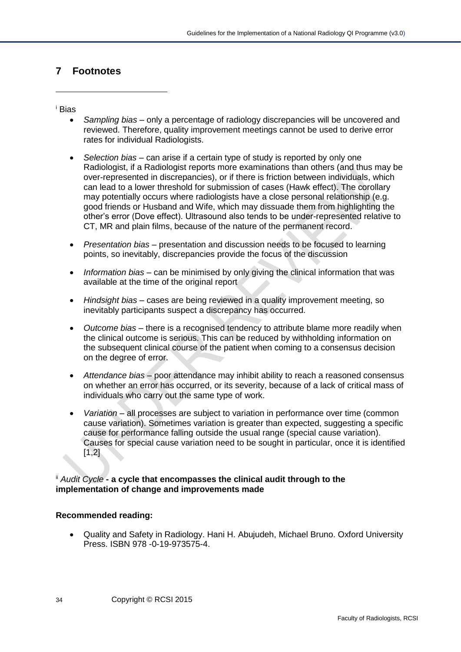## <span id="page-33-0"></span>**7 Footnotes**

#### <sup>i</sup> Bias

-

- *Sampling bias* only a percentage of radiology discrepancies will be uncovered and reviewed. Therefore, quality improvement meetings cannot be used to derive error rates for individual Radiologists.
- *Selection bias* can arise if a certain type of study is reported by only one Radiologist, if a Radiologist reports more examinations than others (and thus may be over-represented in discrepancies), or if there is friction between individuals, which can lead to a lower threshold for submission of cases (Hawk effect). The corollary may potentially occurs where radiologists have a close personal relationship (e.g. good friends or Husband and Wife, which may dissuade them from highlighting the other's error (Dove effect). Ultrasound also tends to be under-represented relative to CT, MR and plain films, because of the nature of the permanent record.
- *Presentation bias* presentation and discussion needs to be focused to learning points, so inevitably, discrepancies provide the focus of the discussion
- *Information bias* can be minimised by only giving the clinical information that was available at the time of the original report
- *Hindsight bias* cases are being reviewed in a quality improvement meeting, so inevitably participants suspect a discrepancy has occurred.
- *Outcome bias* there is a recognised tendency to attribute blame more readily when the clinical outcome is serious. This can be reduced by withholding information on the subsequent clinical course of the patient when coming to a consensus decision on the degree of error.
- *Attendance bias* poor attendance may inhibit ability to reach a reasoned consensus on whether an error has occurred, or its severity, because of a lack of critical mass of individuals who carry out the same type of work.
- *Variation* all processes are subject to variation in performance over time (common cause variation). Sometimes variation is greater than expected, suggesting a specific cause for performance falling outside the usual range (special cause variation). Causes for special cause variation need to be sought in particular, once it is identified  $[1,2]$

#### ii *Audit Cycle* **- a cycle that encompasses the clinical audit through to the implementation of change and improvements made**

#### **Recommended reading:**

• Quality and Safety in Radiology. Hani H. Abujudeh, Michael Bruno. Oxford University Press. ISBN 978 -0-19-973575-4.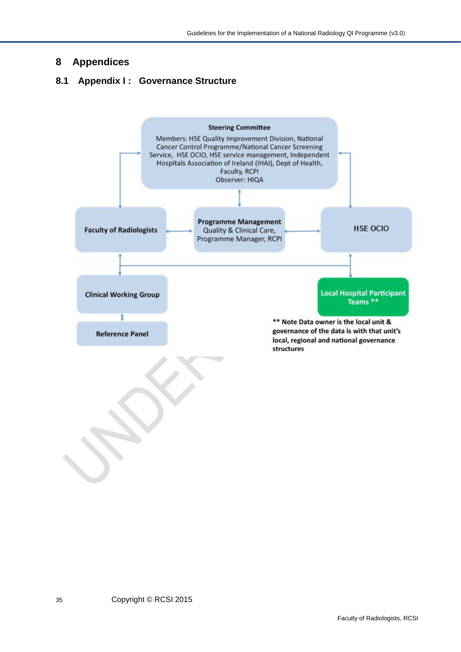## <span id="page-34-0"></span>**8 Appendices**

## <span id="page-34-1"></span>**8.1 Appendix I : Governance Structure**

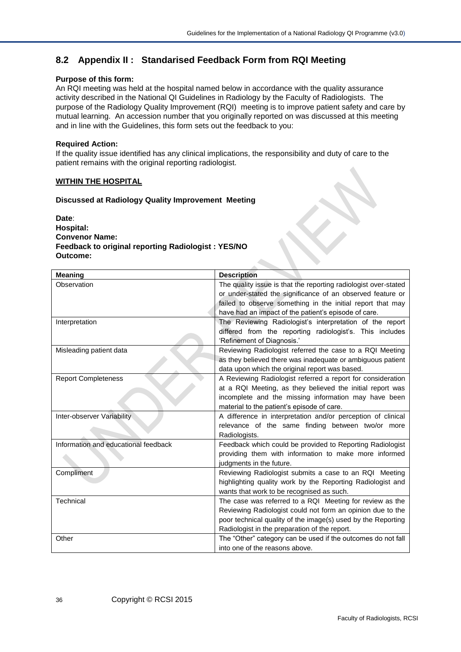## <span id="page-35-0"></span>**8.2 Appendix II : Standarised Feedback Form from RQI Meeting**

#### **Purpose of this form:**

An RQI meeting was held at the hospital named below in accordance with the quality assurance activity described in the National QI Guidelines in Radiology by the Faculty of Radiologists. The purpose of the Radiology Quality Improvement (RQI) meeting is to improve patient safety and care by mutual learning. An accession number that you originally reported on was discussed at this meeting and in line with the Guidelines, this form sets out the feedback to you:

#### **Required Action:**

If the quality issue identified has any clinical implications, the responsibility and duty of care to the patient remains with the original reporting radiologist.

#### **WITHIN THE HOSPITAL**

#### **Discussed at Radiology Quality Improvement Meeting**

**Date**: **Hospital: Convenor Name: Feedback to original reporting Radiologist : YES/NO Outcome:** 

| <b>Meaning</b>                       | <b>Description</b>                                              |
|--------------------------------------|-----------------------------------------------------------------|
| Observation                          | The quality issue is that the reporting radiologist over-stated |
|                                      | or under-stated the significance of an observed feature or      |
|                                      | failed to observe something in the initial report that may      |
|                                      | have had an impact of the patient's episode of care.            |
| Interpretation                       | The Reviewing Radiologist's interpretation of the report        |
|                                      | differed from the reporting radiologist's. This includes        |
|                                      | 'Refinement of Diagnosis.'                                      |
| Misleading patient data              | Reviewing Radiologist referred the case to a RQI Meeting        |
|                                      | as they believed there was inadequate or ambiguous patient      |
|                                      | data upon which the original report was based.                  |
| <b>Report Completeness</b>           | A Reviewing Radiologist referred a report for consideration     |
|                                      | at a RQI Meeting, as they believed the initial report was       |
|                                      | incomplete and the missing information may have been            |
|                                      | material to the patient's episode of care.                      |
| Inter-observer Variability           | A difference in interpretation and/or perception of clinical    |
|                                      | relevance of the same finding between two/or more               |
|                                      | Radiologists.                                                   |
| Information and educational feedback | Feedback which could be provided to Reporting Radiologist       |
|                                      | providing them with information to make more informed           |
|                                      | judgments in the future.                                        |
| Compliment                           | Reviewing Radiologist submits a case to an RQI Meeting          |
|                                      | highlighting quality work by the Reporting Radiologist and      |
|                                      | wants that work to be recognised as such.                       |
| Technical                            | The case was referred to a RQI Meeting for review as the        |
|                                      | Reviewing Radiologist could not form an opinion due to the      |
|                                      | poor technical quality of the image(s) used by the Reporting    |
|                                      | Radiologist in the preparation of the report.                   |
| Other                                | The "Other" category can be used if the outcomes do not fall    |
|                                      | into one of the reasons above.                                  |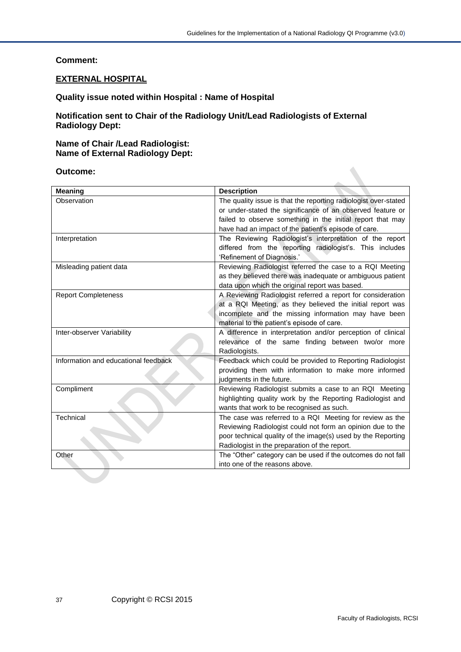#### **Comment:**

#### **EXTERNAL HOSPITAL**

#### **Quality issue noted within Hospital : Name of Hospital**

**Notification sent to Chair of the Radiology Unit/Lead Radiologists of External Radiology Dept:**

#### **Name of Chair /Lead Radiologist: Name of External Radiology Dept:**

| Outcome:                             |                                                                 |
|--------------------------------------|-----------------------------------------------------------------|
| <b>Meaning</b>                       | <b>Description</b>                                              |
| Observation                          | The quality issue is that the reporting radiologist over-stated |
|                                      | or under-stated the significance of an observed feature or      |
|                                      | failed to observe something in the initial report that may      |
|                                      | have had an impact of the patient's episode of care.            |
| Interpretation                       | The Reviewing Radiologist's interpretation of the report        |
|                                      | differed from the reporting radiologist's. This includes        |
|                                      | 'Refinement of Diagnosis.'                                      |
| Misleading patient data              | Reviewing Radiologist referred the case to a RQI Meeting        |
|                                      | as they believed there was inadequate or ambiguous patient      |
|                                      | data upon which the original report was based.                  |
| <b>Report Completeness</b>           | A Reviewing Radiologist referred a report for consideration     |
|                                      | at a RQI Meeting, as they believed the initial report was       |
|                                      | incomplete and the missing information may have been            |
|                                      | material to the patient's episode of care.                      |
| Inter-observer Variability           | A difference in interpretation and/or perception of clinical    |
|                                      | relevance of the same finding between two/or more               |
|                                      | Radiologists.                                                   |
| Information and educational feedback | Feedback which could be provided to Reporting Radiologist       |
|                                      | providing them with information to make more informed           |
|                                      | judgments in the future.                                        |
| Compliment                           | Reviewing Radiologist submits a case to an RQI Meeting          |
|                                      | highlighting quality work by the Reporting Radiologist and      |
|                                      | wants that work to be recognised as such.                       |
| Technical                            | The case was referred to a RQI Meeting for review as the        |
|                                      | Reviewing Radiologist could not form an opinion due to the      |
|                                      | poor technical quality of the image(s) used by the Reporting    |
|                                      | Radiologist in the preparation of the report.                   |
| Other                                | The "Other" category can be used if the outcomes do not fall    |
|                                      | into one of the reasons above.                                  |
|                                      |                                                                 |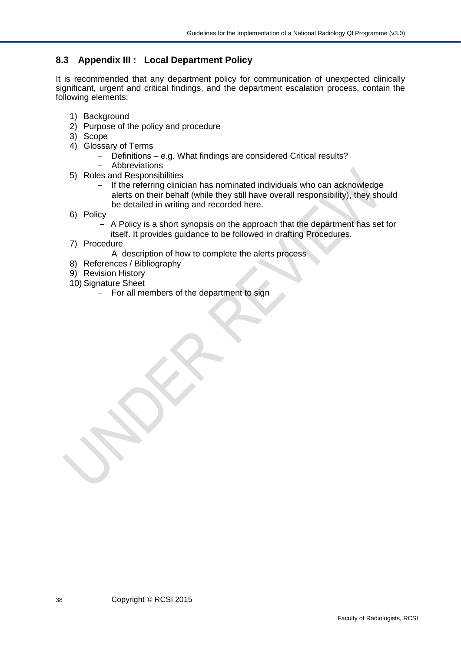## <span id="page-37-0"></span>**8.3 Appendix III : Local Department Policy**

It is recommended that any department policy for communication of unexpected clinically significant, urgent and critical findings, and the department escalation process, contain the following elements:

- 1) Background
- 2) Purpose of the policy and procedure
- 3) Scope
- 4) Glossary of Terms
	- Definitions e.g. What findings are considered Critical results?
	- Abbreviations
- 5) Roles and Responsibilities
	- If the referring clinician has nominated individuals who can acknowledge alerts on their behalf (while they still have overall responsibility), they should be detailed in writing and recorded here.
- 6) Policy
	- A Policy is a short synopsis on the approach that the department has set for itself. It provides guidance to be followed in drafting Procedures.
- 7) Procedure
	- A description of how to complete the alerts process
- 8) References / Bibliography
- 9) Revision History
- 10) Signature Sheet
	- For all members of the department to sign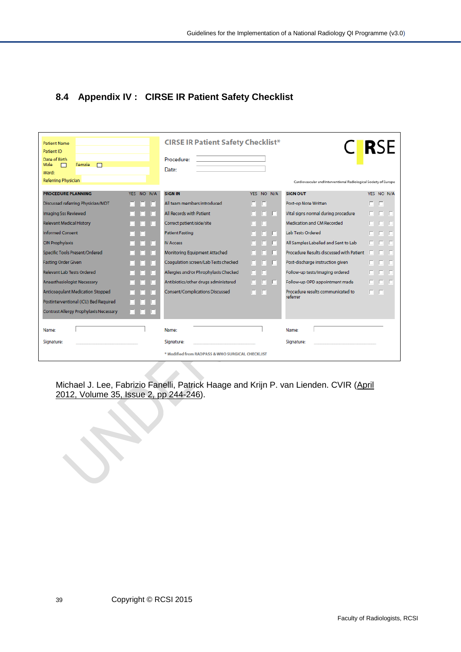## <span id="page-38-0"></span>**8.4 Appendix IV : CIRSE IR Patient Safety Checklist**

| <b>Patient Name</b><br>Patient ID<br>Date of Birth<br>Male<br>Female<br>$\Box$<br>П<br>Ward:<br>Referring Physician |                       | <b>CIRSE IR Patient Safety Checklist*</b><br>Procedure:<br>Date: |                  | Cardiovascular and Interventional Radiological Society of Europe | C RSE          |
|---------------------------------------------------------------------------------------------------------------------|-----------------------|------------------------------------------------------------------|------------------|------------------------------------------------------------------|----------------|
| <b>PROCEDURE PLANNING</b>                                                                                           | <b>YES</b><br>NO N/A  | <b>SIGN IN</b>                                                   | NO N/A<br>YFS.   | <b>SIGN OUT</b>                                                  | YES NO N/A     |
| Discussed referring Physician/MDT                                                                                   | г                     | All team members introduced                                      | г                | Post-op Note Written                                             | $\Box$         |
| Imaging Sss Reviewed                                                                                                |                       | All Records with Patient                                         | n<br><b>In</b>   | Vital signs normal during procedure                              | $\Box$ $\Box$  |
| <b>Relevant Medical History</b>                                                                                     | п                     | Correct patient/side/site                                        | E                | Medication and CM Recorded                                       | <b>III</b>     |
| <b>Informed Consent</b>                                                                                             |                       | <b>Patient Fasting</b>                                           | E<br>п           | <b>Lab Tests Ordered</b>                                         | $\Box$         |
| <b>CIN Prophylaxis</b>                                                                                              | IO                    | <b>IV Access</b>                                                 |                  | All Samples Labelled and Sent to Lab                             | .              |
| Specific Tools Present/Ordered                                                                                      | IП                    | Monitoring Equipment Attached                                    | ın               | Procedure Results discussed with Patient                         | п              |
| <b>Fasting Order Given</b>                                                                                          | IП                    | Coagulation screen/Lab Tests checked                             | IП<br>n          | Post-discharge instruction given                                 | E.<br>LГ<br>n. |
| Relevant Lab Tests Ordered                                                                                          | IO                    | Allergies and/or Phrophylaxis Checked                            | <b>ITI</b><br>п. | Follow-up tests/imaging ordered                                  | Im.            |
| Anaesthesiologist Necessary                                                                                         |                       | Antibiotics/other drugs administered                             | m<br>LT 1<br>n.  | Follow-up OPD appointment made                                   | 8. S. S        |
| <b>Anticoagulant Medication Stopped</b>                                                                             | In                    | Consent/Complications Discussed                                  | п<br>$\Box$      | Procedure results communicated to<br>referrer                    | 0 O            |
| Postinterventional (ICU) Bed Required                                                                               | U                     |                                                                  |                  |                                                                  |                |
| Contrast Allergy Prophylaxis Necessary                                                                              | O.<br>u<br><b>ICI</b> |                                                                  |                  |                                                                  |                |
| Name:                                                                                                               |                       | Name:                                                            |                  | Name:                                                            |                |
| Signature:                                                                                                          |                       | Signature:                                                       |                  | Signature:                                                       |                |
|                                                                                                                     |                       | * Modified from RADPASS & WHO SURGICAL CHECKLIST                 |                  |                                                                  |                |

Michael J. Lee, Fabrizio Fanelli, Patrick Haage and Krijn P. van Lienden. CVIR [\(April](http://link.springer.com/content/pdf/10.1007%2Fs00270-011-0289-5.pdf)  2012, Volume 35, Issue 2, [pp 244-246\)](http://link.springer.com/content/pdf/10.1007%2Fs00270-011-0289-5.pdf).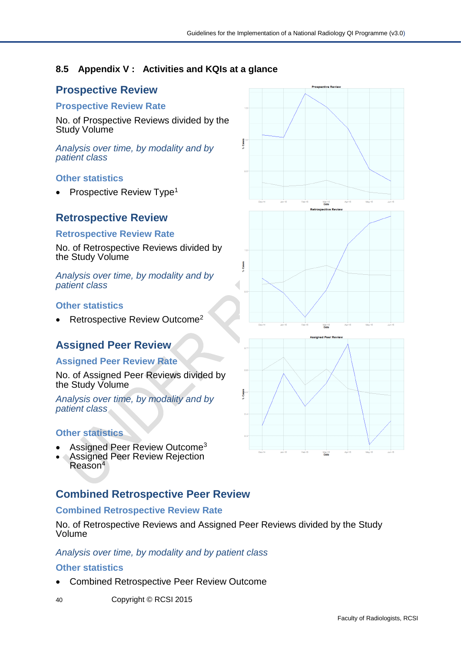## <span id="page-39-0"></span>**8.5 Appendix V : Activities and KQIs at a glance**

# **Prospective Review**

#### **Prospective Review Rate**

No. of Prospective Reviews divided by the Study Volume

*Analysis over time, by modality and by patient class*

### **Other statistics**

Prospective Review Type<sup>1</sup>

## **Retrospective Review**

#### **Retrospective Review Rate**

No. of Retrospective Reviews divided by the Study Volume

*Analysis over time, by modality and by patient class*

### **Other statistics**

Retrospective Review Outcome<sup>2</sup>

## **Assigned Peer Review**

#### **Assigned Peer Review Rate**

No. of Assigned Peer Reviews divided by the Study Volume

*Analysis over time, by modality and by patient class*

### **Other statistics**

- Assigned Peer Review Outcome<sup>3</sup>
- Assigned Peer Review Rejection Reason<sup>4</sup>

## **Combined Retrospective Peer Review**

#### **Combined Retrospective Review Rate**

No. of Retrospective Reviews and Assigned Peer Reviews divided by the Study Volume

#### *Analysis over time, by modality and by patient class*

#### **Other statistics**

- Combined Retrospective Peer Review Outcome
- 40 Copyright © RCSI 2015

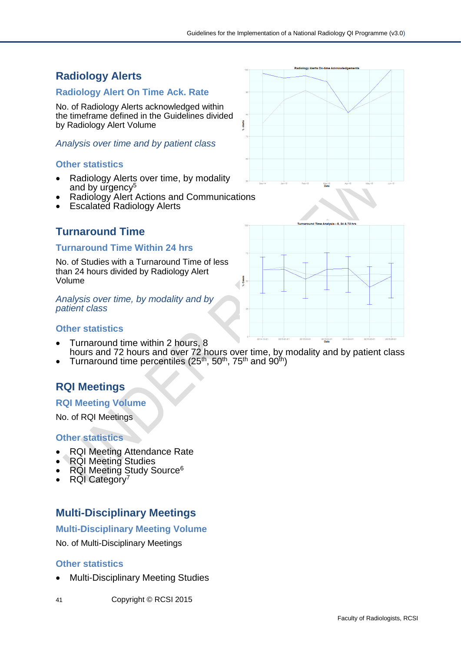## **Radiology Alerts On-tir Radiology Alerts Radiology Alert On Time Ack. Rate**  No. of Radiology Alerts acknowledged within the timeframe defined in the Guidelines divided by Radiology Alert Volume į *Analysis over time and by patient class* **Other statistics** • Radiology Alerts over time, by modality and by urgency<sup>5</sup> • Radiology Alert Actions and Communications • Escalated Radiology Alerts .<br>Iveie - 8 *24 &* 72 hre **Turnaround Time Turnaround Time Within 24 hrs** No. of Studies with a Turnaround Time of less than 24 hours divided by Radiology Alert Volume **Cases** Z *Analysis over time, by modality and by patient class* **Other statistics**

- Turnaround time within 2 hours, 8 hours and 72 hours and over 72 hours over time, by modality and by patient class
- Turnaround time percentiles ( $25<sup>th</sup>$ ,  $50<sup>th</sup>$ ,  $75<sup>th</sup>$  and  $90<sup>th</sup>$ )

# **RQI Meetings**

### **RQI Meeting Volume**

No. of RQI Meetings

### **Other statistics**

- RQI Meeting Attendance Rate
- RQI Meeting Studies
- RQI Meeting Study Source<sup>6</sup>
- RQI Category<sup>7</sup>

## **Multi-Disciplinary Meetings**

#### **Multi-Disciplinary Meeting Volume**

No. of Multi-Disciplinary Meetings

#### **Other statistics**

- Multi-Disciplinary Meeting Studies
- 41 Copyright © RCSI 2015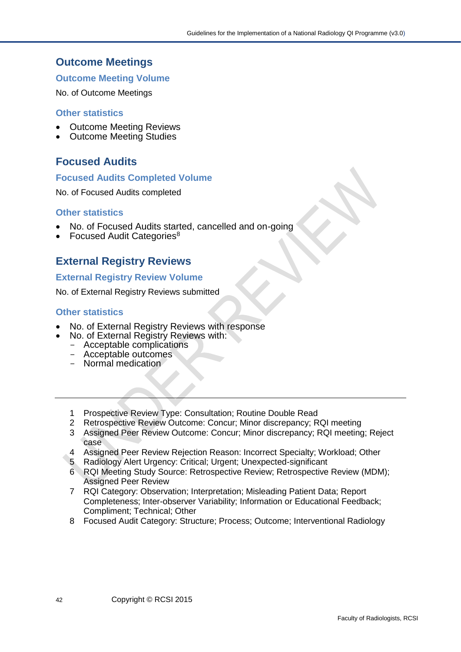## **Outcome Meetings**

#### **Outcome Meeting Volume**

No. of Outcome Meetings

#### **Other statistics**

- Outcome Meeting Reviews
- Outcome Meeting Studies

## **Focused Audits**

#### **Focused Audits Completed Volume**

No. of Focused Audits completed

#### **Other statistics**

- No. of Focused Audits started, cancelled and on-going
- Focused Audit Categories<sup>8</sup>

## **External Registry Reviews**

#### **External Registry Review Volume**

No. of External Registry Reviews submitted

#### **Other statistics**

- No. of External Registry Reviews with response
	- No. of External Registry Reviews with:
	- Acceptable complications - Acceptable outcomes
	- Normal medication
	- 1 Prospective Review Type: Consultation; Routine Double Read
	- 2 Retrospective Review Outcome: Concur; Minor discrepancy; RQI meeting
	- 3 Assigned Peer Review Outcome: Concur; Minor discrepancy; RQI meeting; Reject case
	- 4 Assigned Peer Review Rejection Reason: Incorrect Specialty; Workload; Other
	- 5 Radiology Alert Urgency: Critical; Urgent; Unexpected-significant
	- 6 RQI Meeting Study Source: Retrospective Review; Retrospective Review (MDM); Assigned Peer Review
	- 7 RQI Category: Observation; Interpretation; Misleading Patient Data; Report Completeness; Inter-observer Variability; Information or Educational Feedback; Compliment; Technical; Other
	- 8 Focused Audit Category: Structure; Process; Outcome; Interventional Radiology